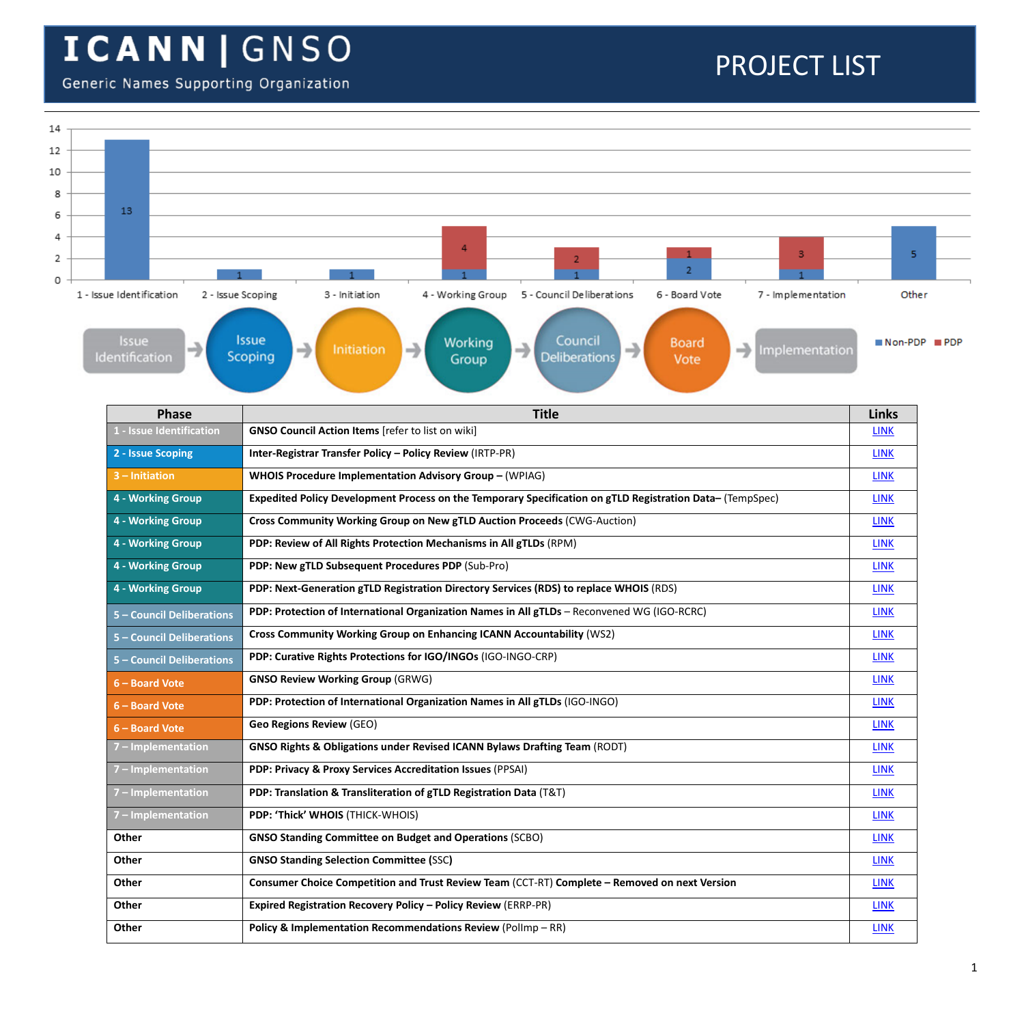#### Generic Names Supporting Organization

| 14 |                                               |                                                                                                                                                       |              |                    |  |  |  |  |  |
|----|-----------------------------------------------|-------------------------------------------------------------------------------------------------------------------------------------------------------|--------------|--------------------|--|--|--|--|--|
| 12 |                                               |                                                                                                                                                       |              |                    |  |  |  |  |  |
| 10 |                                               |                                                                                                                                                       |              |                    |  |  |  |  |  |
| 8  |                                               |                                                                                                                                                       |              |                    |  |  |  |  |  |
| 6  | 13                                            |                                                                                                                                                       |              |                    |  |  |  |  |  |
| 4  |                                               | $\overline{4}$                                                                                                                                        |              |                    |  |  |  |  |  |
| 2  |                                               | 3<br>$\overline{2}$                                                                                                                                   | 5            |                    |  |  |  |  |  |
| 0  | 1 - Issue Identification<br>2 - Issue Scoping | 5 - Council Deliberations<br>6 - Board Vote<br>7 - Implementation<br>3 - Initiation<br>4 - Working Group                                              | Other        |                    |  |  |  |  |  |
|    |                                               |                                                                                                                                                       |              |                    |  |  |  |  |  |
|    | <b>Issue</b><br>→<br>Identification           | <b>Issue</b><br>Council<br>Working<br><b>Board</b><br>→<br>→<br>→<br>Initiation<br>Implementation<br>Scoping<br><b>Deliberations</b><br>Group<br>Vote | $Non-PDP$    | $\blacksquare$ PDP |  |  |  |  |  |
|    | Phase                                         | <b>Title</b>                                                                                                                                          | <b>Links</b> |                    |  |  |  |  |  |
|    | I - Issue Identification                      | <b>GNSO Council Action Items</b> [refer to list on wiki]                                                                                              | <b>LINK</b>  |                    |  |  |  |  |  |
|    | 2 - Issue Scoping                             | Inter-Registrar Transfer Policy - Policy Review (IRTP-PR)                                                                                             | <b>LINK</b>  |                    |  |  |  |  |  |
|    | 3 - Initiation                                | WHOIS Procedure Implementation Advisory Group - (WPIAG)                                                                                               | <b>LINK</b>  |                    |  |  |  |  |  |
|    | 4 - Working Group                             | Expedited Policy Development Process on the Temporary Specification on gTLD Registration Data- (TempSpec)                                             | <b>LINK</b>  |                    |  |  |  |  |  |
|    | 4 - Working Group                             | Cross Community Working Group on New gTLD Auction Proceeds (CWG-Auction)                                                                              | <b>LINK</b>  |                    |  |  |  |  |  |
|    | 4 - Working Group                             | PDP: Review of All Rights Protection Mechanisms in All gTLDs (RPM)                                                                                    | <b>LINK</b>  |                    |  |  |  |  |  |
|    | 4 - Working Group                             | PDP: New gTLD Subsequent Procedures PDP (Sub-Pro)                                                                                                     | <b>LINK</b>  |                    |  |  |  |  |  |
|    | 4 - Working Group                             | PDP: Next-Generation gTLD Registration Directory Services (RDS) to replace WHOIS (RDS)                                                                | <b>LINK</b>  |                    |  |  |  |  |  |
|    | 5 - Council Deliberations                     | PDP: Protection of International Organization Names in All gTLDs - Reconvened WG (IGO-RCRC)                                                           | <b>LINK</b>  |                    |  |  |  |  |  |
|    | 5 - Council Deliberations                     | Cross Community Working Group on Enhancing ICANN Accountability (WS2)                                                                                 | <b>LINK</b>  |                    |  |  |  |  |  |
|    | 5 - Council Deliberations                     | PDP: Curative Rights Protections for IGO/INGOs (IGO-INGO-CRP)                                                                                         |              |                    |  |  |  |  |  |
|    | 6 - Board Vote                                | <b>GNSO Review Working Group (GRWG)</b>                                                                                                               |              |                    |  |  |  |  |  |
|    | 6 - Board Vote                                | PDP: Protection of International Organization Names in All gTLDs (IGO-INGO)                                                                           | <b>LINK</b>  |                    |  |  |  |  |  |
|    | 6 - Board Vote                                | <b>Geo Regions Review (GEO)</b>                                                                                                                       | <b>LINK</b>  |                    |  |  |  |  |  |
|    | 7 - Implementation                            | GNSO Rights & Obligations under Revised ICANN Bylaws Drafting Team (RODT)                                                                             | <b>LINK</b>  |                    |  |  |  |  |  |
|    | 7 - Implementation                            | PDP: Privacy & Proxy Services Accreditation Issues (PPSAI)                                                                                            |              |                    |  |  |  |  |  |
|    | 7 - Implementation                            | PDP: Translation & Transliteration of gTLD Registration Data (T&T)                                                                                    |              |                    |  |  |  |  |  |
|    | 7 - Implementation                            | PDP: 'Thick' WHOIS (THICK-WHOIS)                                                                                                                      |              |                    |  |  |  |  |  |
|    | Other                                         | <b>GNSO Standing Committee on Budget and Operations (SCBO)</b>                                                                                        |              |                    |  |  |  |  |  |
|    | Other                                         | <b>GNSO Standing Selection Committee (SSC)</b>                                                                                                        | <b>LINK</b>  |                    |  |  |  |  |  |
|    | Other                                         | Consumer Choice Competition and Trust Review Team (CCT-RT) Complete - Removed on next Version                                                         | <b>LINK</b>  |                    |  |  |  |  |  |
|    | Other                                         | <b>Expired Registration Recovery Policy - Policy Review (ERRP-PR)</b>                                                                                 | <b>LINK</b>  |                    |  |  |  |  |  |
|    | Other                                         | Policy & Implementation Recommendations Review (PolImp - RR)                                                                                          | <b>LINK</b>  |                    |  |  |  |  |  |
|    |                                               |                                                                                                                                                       |              |                    |  |  |  |  |  |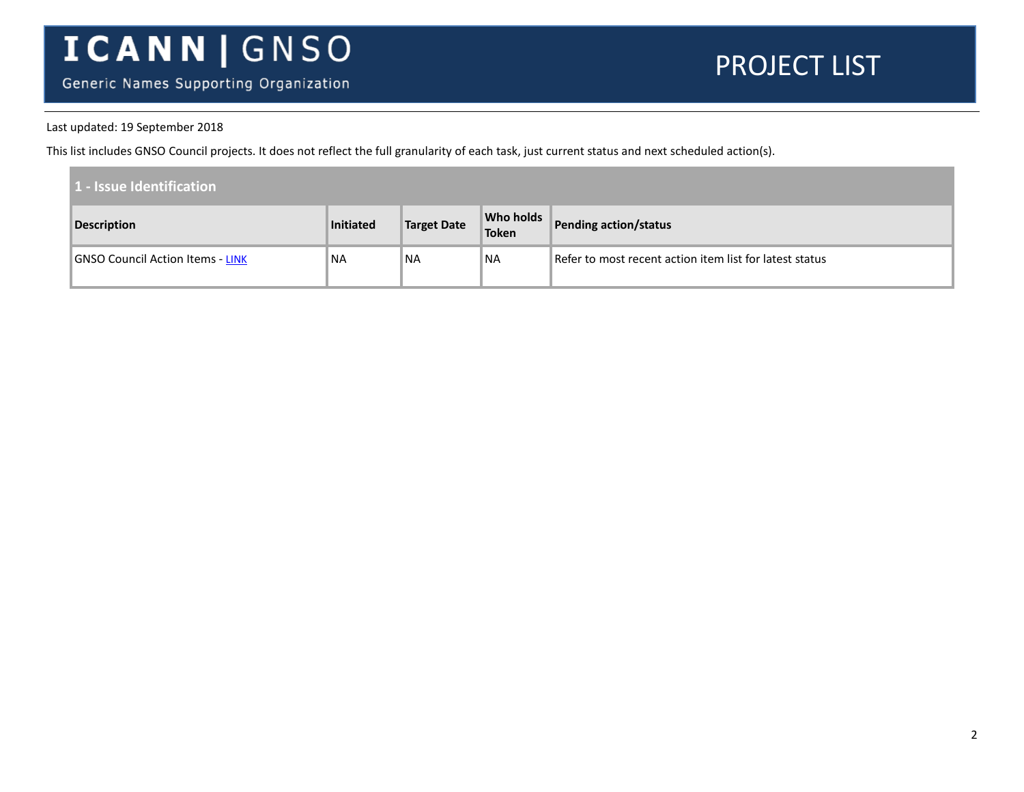Generic Names Supporting Organization

#### PROJECT LIST

#### Last updated: 19 September 2018

This list includes GNSO Council projects. It does not reflect the full granularity of each task, just current status and next scheduled action(s).

| 1 - Issue Identification |                                  |           |                    |                           |                                                         |
|--------------------------|----------------------------------|-----------|--------------------|---------------------------|---------------------------------------------------------|
|                          | <b>Description</b>               | Initiated | <b>Target Date</b> | <b>Who holds</b><br>Token | <b>Pending action/status</b>                            |
|                          | GNSO Council Action Items - LINK | <b>NA</b> | NA                 | ®NA                       | Refer to most recent action item list for latest status |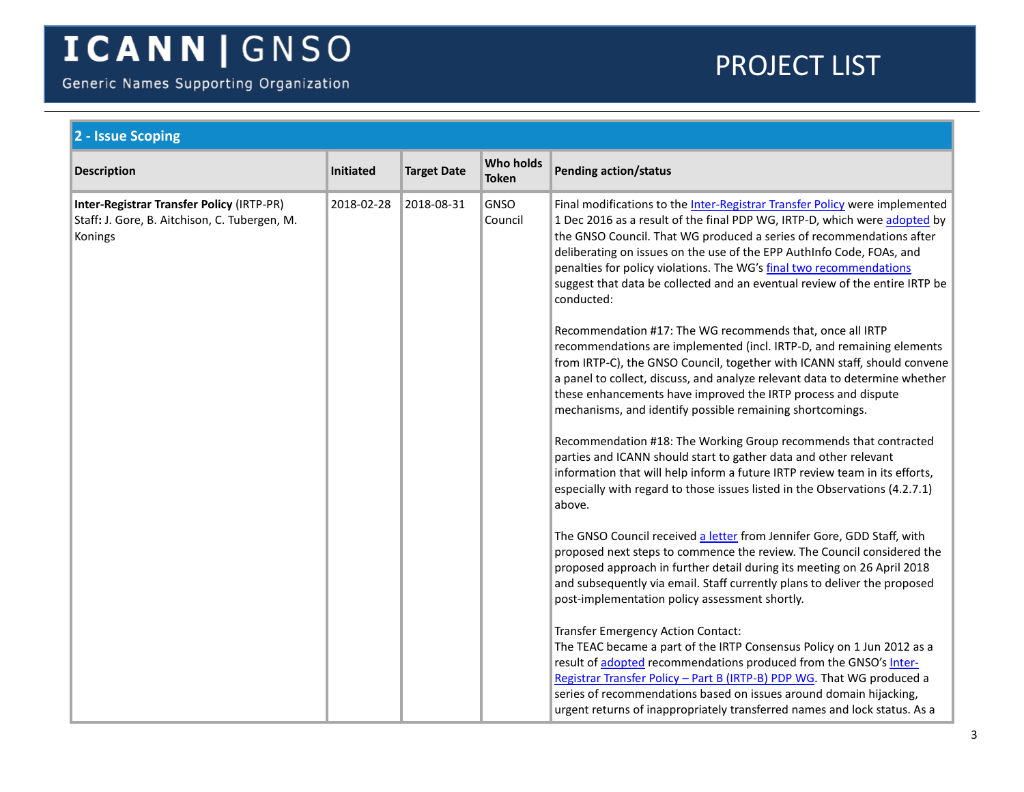Generic Names Supporting Organization

<span id="page-2-0"></span>

| 2 - Issue Scoping                                                                                     |                  |                    |                                  |                                                                                                                                                                                                                                                                                                                                                                                                                                                                                                                                            |  |  |
|-------------------------------------------------------------------------------------------------------|------------------|--------------------|----------------------------------|--------------------------------------------------------------------------------------------------------------------------------------------------------------------------------------------------------------------------------------------------------------------------------------------------------------------------------------------------------------------------------------------------------------------------------------------------------------------------------------------------------------------------------------------|--|--|
| <b>Description</b>                                                                                    | <b>Initiated</b> | <b>Target Date</b> | <b>Who holds</b><br><b>Token</b> | <b>Pending action/status</b>                                                                                                                                                                                                                                                                                                                                                                                                                                                                                                               |  |  |
| Inter-Registrar Transfer Policy (IRTP-PR)<br>Staff: J. Gore, B. Aitchison, C. Tubergen, M.<br>Konings | 2018-02-28       | 2018-08-31         | <b>GNSO</b><br>Council           | Final modifications to the Inter-Registrar Transfer Policy were implemented<br>1 Dec 2016 as a result of the final PDP WG, IRTP-D, which were adopted by<br>the GNSO Council. That WG produced a series of recommendations after<br>deliberating on issues on the use of the EPP AuthInfo Code, FOAs, and<br>penalties for policy violations. The WG's final two recommendations<br>suggest that data be collected and an eventual review of the entire IRTP be<br>conducted:<br>Recommendation #17: The WG recommends that, once all IRTP |  |  |
|                                                                                                       |                  |                    |                                  | recommendations are implemented (incl. IRTP-D, and remaining elements<br>from IRTP-C), the GNSO Council, together with ICANN staff, should convene<br>a panel to collect, discuss, and analyze relevant data to determine whether<br>these enhancements have improved the IRTP process and dispute<br>mechanisms, and identify possible remaining shortcomings.                                                                                                                                                                            |  |  |
|                                                                                                       |                  |                    |                                  | Recommendation #18: The Working Group recommends that contracted<br>parties and ICANN should start to gather data and other relevant<br>information that will help inform a future IRTP review team in its efforts,<br>especially with regard to those issues listed in the Observations (4.2.7.1)<br>above.                                                                                                                                                                                                                               |  |  |
|                                                                                                       |                  |                    |                                  | The GNSO Council received a letter from Jennifer Gore, GDD Staff, with<br>proposed next steps to commence the review. The Council considered the<br>proposed approach in further detail during its meeting on 26 April 2018<br>and subsequently via email. Staff currently plans to deliver the proposed<br>post-implementation policy assessment shortly.                                                                                                                                                                                 |  |  |
|                                                                                                       |                  |                    |                                  | Transfer Emergency Action Contact:<br>The TEAC became a part of the IRTP Consensus Policy on 1 Jun 2012 as a<br>result of adopted recommendations produced from the GNSO's Inter-<br>Registrar Transfer Policy - Part B (IRTP-B) PDP WG. That WG produced a<br>series of recommendations based on issues around domain hijacking,<br>urgent returns of inappropriately transferred names and lock status. As a                                                                                                                             |  |  |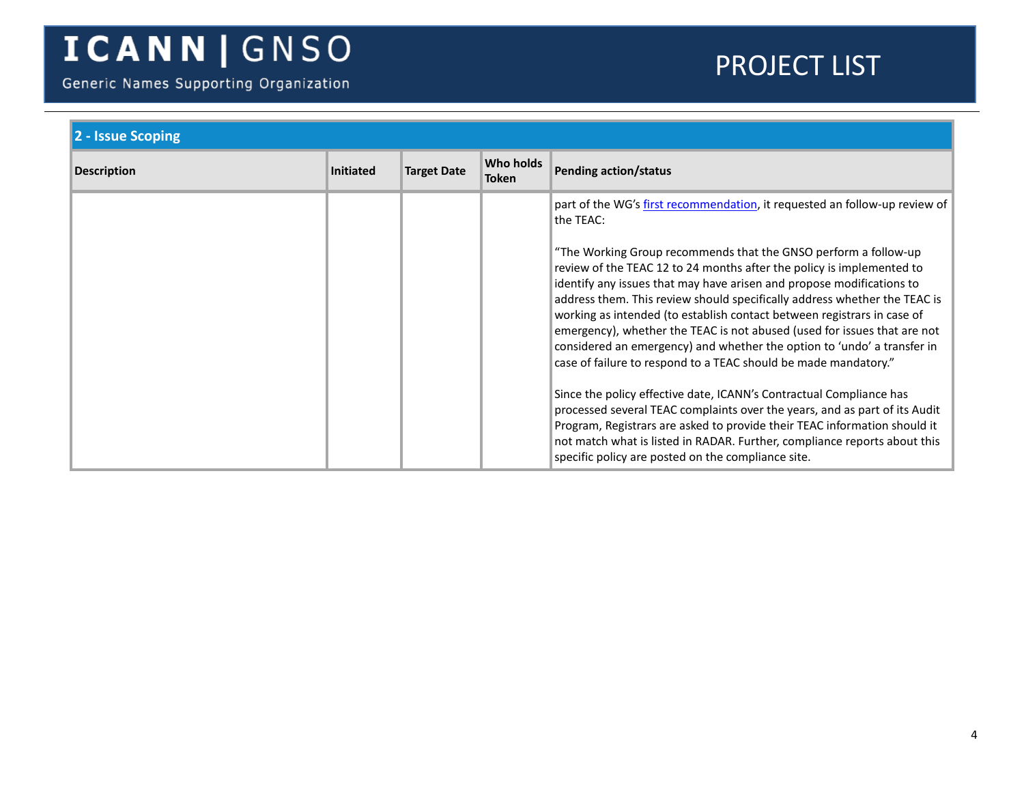Generic Names Supporting Organization

| 2 - Issue Scoping  |                  |                    |                           |                                                                                                                                                                                                                                                                                                                                                                                                                                                                                                                                                                                                     |
|--------------------|------------------|--------------------|---------------------------|-----------------------------------------------------------------------------------------------------------------------------------------------------------------------------------------------------------------------------------------------------------------------------------------------------------------------------------------------------------------------------------------------------------------------------------------------------------------------------------------------------------------------------------------------------------------------------------------------------|
| <b>Description</b> | <b>Initiated</b> | <b>Target Date</b> | Who holds<br><b>Token</b> | <b>Pending action/status</b>                                                                                                                                                                                                                                                                                                                                                                                                                                                                                                                                                                        |
|                    |                  |                    |                           | part of the WG's first recommendation, it requested an follow-up review of<br>the TEAC:                                                                                                                                                                                                                                                                                                                                                                                                                                                                                                             |
|                    |                  |                    |                           | "The Working Group recommends that the GNSO perform a follow-up<br>review of the TEAC 12 to 24 months after the policy is implemented to<br>identify any issues that may have arisen and propose modifications to<br>address them. This review should specifically address whether the TEAC is<br>working as intended (to establish contact between registrars in case of<br>emergency), whether the TEAC is not abused (used for issues that are not<br>considered an emergency) and whether the option to 'undo' a transfer in<br>case of failure to respond to a TEAC should be made mandatory." |
|                    |                  |                    |                           | Since the policy effective date, ICANN's Contractual Compliance has<br>processed several TEAC complaints over the years, and as part of its Audit<br>Program, Registrars are asked to provide their TEAC information should it<br>not match what is listed in RADAR. Further, compliance reports about this<br>specific policy are posted on the compliance site.                                                                                                                                                                                                                                   |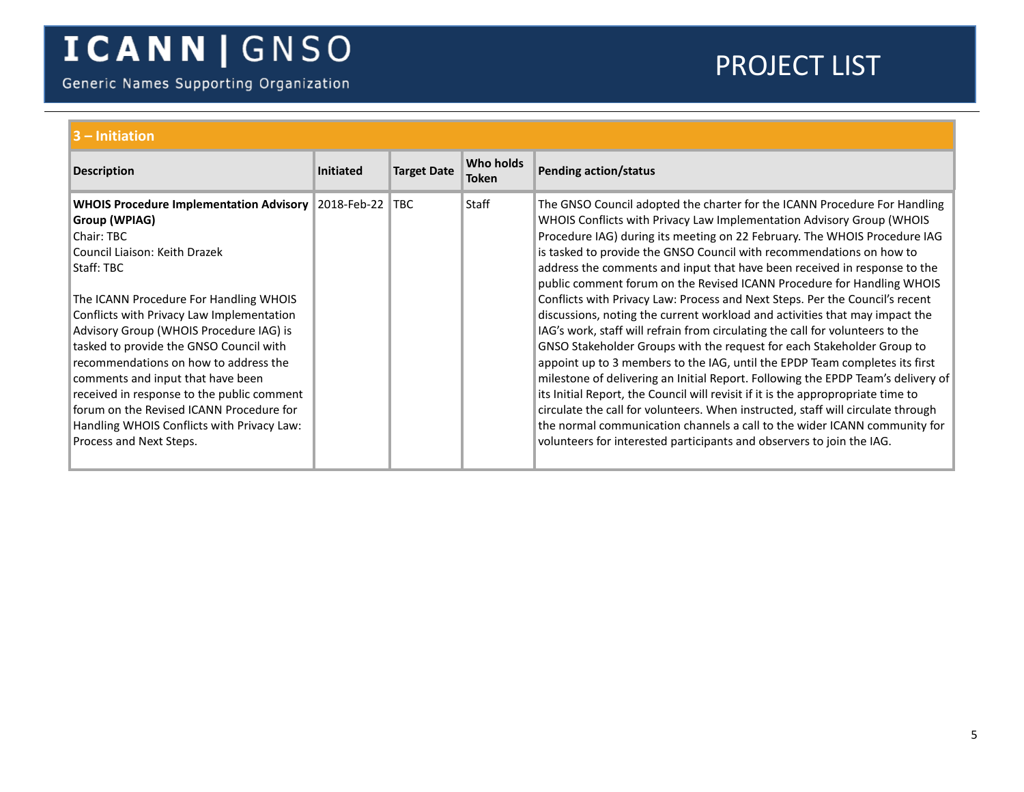Generic Names Supporting Organization

<span id="page-4-1"></span><span id="page-4-0"></span>

| $3 -$ Initiation                                                                                                                                                                                                                                                                                                                                                                                                                                                                                                                                                       |                  |                    |                           |                                                                                                                                                                                                                                                                                                                                                                                                                                                                                                                                                                                                                                                                                                                                                                                                                                                                                                                                                                                                                                                                                                                                                                                                                                                                                            |  |  |
|------------------------------------------------------------------------------------------------------------------------------------------------------------------------------------------------------------------------------------------------------------------------------------------------------------------------------------------------------------------------------------------------------------------------------------------------------------------------------------------------------------------------------------------------------------------------|------------------|--------------------|---------------------------|--------------------------------------------------------------------------------------------------------------------------------------------------------------------------------------------------------------------------------------------------------------------------------------------------------------------------------------------------------------------------------------------------------------------------------------------------------------------------------------------------------------------------------------------------------------------------------------------------------------------------------------------------------------------------------------------------------------------------------------------------------------------------------------------------------------------------------------------------------------------------------------------------------------------------------------------------------------------------------------------------------------------------------------------------------------------------------------------------------------------------------------------------------------------------------------------------------------------------------------------------------------------------------------------|--|--|
| <b>Description</b>                                                                                                                                                                                                                                                                                                                                                                                                                                                                                                                                                     | <b>Initiated</b> | <b>Target Date</b> | Who holds<br><b>Token</b> | <b>Pending action/status</b>                                                                                                                                                                                                                                                                                                                                                                                                                                                                                                                                                                                                                                                                                                                                                                                                                                                                                                                                                                                                                                                                                                                                                                                                                                                               |  |  |
| <b>WHOIS Procedure Implementation Advisory 2018-Feb-22</b><br>Group (WPIAG)<br>Chair: TBC<br>Council Liaison: Keith Drazek<br>Staff: TBC<br>The ICANN Procedure For Handling WHOIS<br>Conflicts with Privacy Law Implementation<br>Advisory Group (WHOIS Procedure IAG) is<br>tasked to provide the GNSO Council with<br>recommendations on how to address the<br>comments and input that have been<br>received in response to the public comment<br>forum on the Revised ICANN Procedure for<br>Handling WHOIS Conflicts with Privacy Law:<br>Process and Next Steps. |                  | ∣TBC.              | <b>Staff</b>              | The GNSO Council adopted the charter for the ICANN Procedure For Handling<br>WHOIS Conflicts with Privacy Law Implementation Advisory Group (WHOIS<br>Procedure IAG) during its meeting on 22 February. The WHOIS Procedure IAG<br>is tasked to provide the GNSO Council with recommendations on how to<br>address the comments and input that have been received in response to the<br>public comment forum on the Revised ICANN Procedure for Handling WHOIS<br>Conflicts with Privacy Law: Process and Next Steps. Per the Council's recent<br>discussions, noting the current workload and activities that may impact the<br>IAG's work, staff will refrain from circulating the call for volunteers to the<br>GNSO Stakeholder Groups with the request for each Stakeholder Group to<br>appoint up to 3 members to the IAG, until the EPDP Team completes its first<br>milestone of delivering an Initial Report. Following the EPDP Team's delivery of<br>its Initial Report, the Council will revisit if it is the appropropriate time to<br>circulate the call for volunteers. When instructed, staff will circulate through<br>the normal communication channels a call to the wider ICANN community for<br>volunteers for interested participants and observers to join the IAG. |  |  |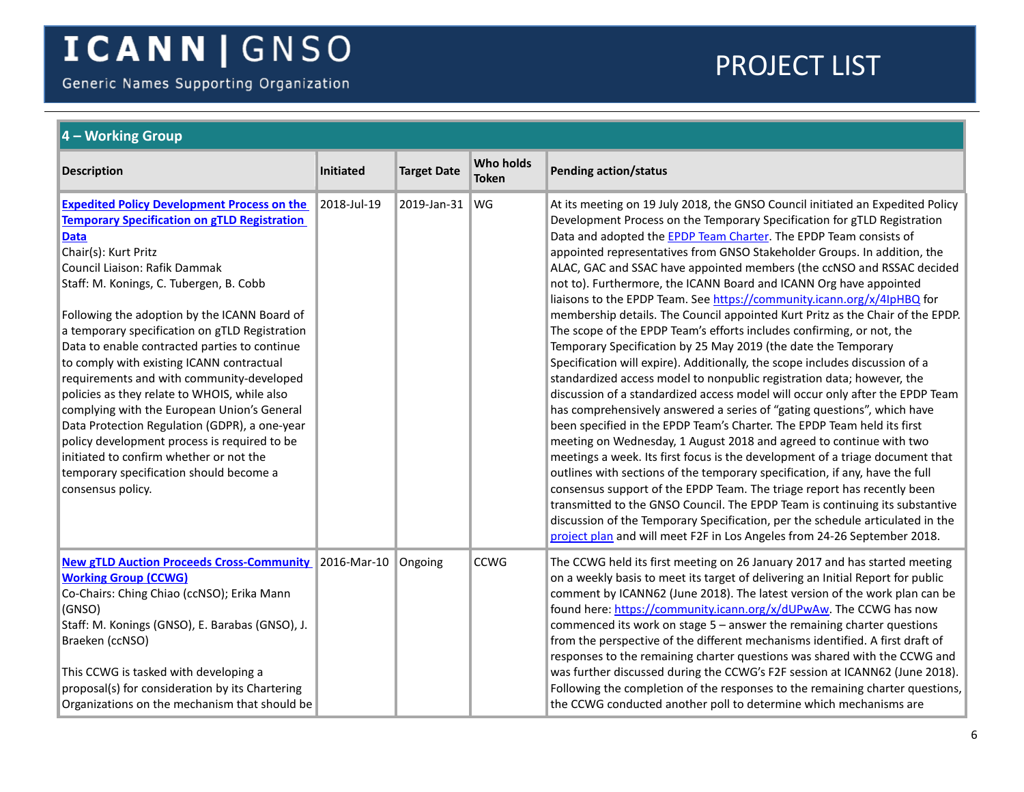Generic Names Supporting Organization

<span id="page-5-0"></span>

| $\vert$ 4 – Working Group                                                                                                                                                                                                                                                                                                                                                                                                                                                                                                                                                                                                                                                                                                                                                            |                  |                    |                           |                                                                                                                                                                                                                                                                                                                                                                                                                                                                                                                                                                                                                                                                                                                                                                                                                                                                                                                                                                                                                                                                                                                                                                                                                                                                                                                                                                                                                                                                                                                                                                                                                                                                                                                                               |  |  |
|--------------------------------------------------------------------------------------------------------------------------------------------------------------------------------------------------------------------------------------------------------------------------------------------------------------------------------------------------------------------------------------------------------------------------------------------------------------------------------------------------------------------------------------------------------------------------------------------------------------------------------------------------------------------------------------------------------------------------------------------------------------------------------------|------------------|--------------------|---------------------------|-----------------------------------------------------------------------------------------------------------------------------------------------------------------------------------------------------------------------------------------------------------------------------------------------------------------------------------------------------------------------------------------------------------------------------------------------------------------------------------------------------------------------------------------------------------------------------------------------------------------------------------------------------------------------------------------------------------------------------------------------------------------------------------------------------------------------------------------------------------------------------------------------------------------------------------------------------------------------------------------------------------------------------------------------------------------------------------------------------------------------------------------------------------------------------------------------------------------------------------------------------------------------------------------------------------------------------------------------------------------------------------------------------------------------------------------------------------------------------------------------------------------------------------------------------------------------------------------------------------------------------------------------------------------------------------------------------------------------------------------------|--|--|
| <b>Description</b>                                                                                                                                                                                                                                                                                                                                                                                                                                                                                                                                                                                                                                                                                                                                                                   | <b>Initiated</b> | <b>Target Date</b> | Who holds<br><b>Token</b> | <b>Pending action/status</b>                                                                                                                                                                                                                                                                                                                                                                                                                                                                                                                                                                                                                                                                                                                                                                                                                                                                                                                                                                                                                                                                                                                                                                                                                                                                                                                                                                                                                                                                                                                                                                                                                                                                                                                  |  |  |
| <b>Expedited Policy Development Process on the</b><br><b>Temporary Specification on gTLD Registration</b><br><b>Data</b><br>Chair(s): Kurt Pritz<br>Council Liaison: Rafik Dammak<br>Staff: M. Konings, C. Tubergen, B. Cobb<br>Following the adoption by the ICANN Board of<br>a temporary specification on gTLD Registration<br>Data to enable contracted parties to continue<br>to comply with existing ICANN contractual<br>requirements and with community-developed<br>policies as they relate to WHOIS, while also<br>complying with the European Union's General<br>Data Protection Regulation (GDPR), a one-year<br>policy development process is required to be<br>initiated to confirm whether or not the<br>temporary specification should become a<br>consensus policy. | 2018-Jul-19      | 2019-Jan-31        | <b>WG</b>                 | At its meeting on 19 July 2018, the GNSO Council initiated an Expedited Policy<br>Development Process on the Temporary Specification for gTLD Registration<br>Data and adopted the <b>EPDP Team Charter</b> . The EPDP Team consists of<br>appointed representatives from GNSO Stakeholder Groups. In addition, the<br>ALAC, GAC and SSAC have appointed members (the ccNSO and RSSAC decided<br>not to). Furthermore, the ICANN Board and ICANN Org have appointed<br>liaisons to the EPDP Team. See https://community.icann.org/x/4lpHBQ for<br>membership details. The Council appointed Kurt Pritz as the Chair of the EPDP.<br>The scope of the EPDP Team's efforts includes confirming, or not, the<br>Temporary Specification by 25 May 2019 (the date the Temporary<br>Specification will expire). Additionally, the scope includes discussion of a<br>standardized access model to nonpublic registration data; however, the<br>discussion of a standardized access model will occur only after the EPDP Team<br>has comprehensively answered a series of "gating questions", which have<br>been specified in the EPDP Team's Charter. The EPDP Team held its first<br>meeting on Wednesday, 1 August 2018 and agreed to continue with two<br>meetings a week. Its first focus is the development of a triage document that<br>outlines with sections of the temporary specification, if any, have the full<br>consensus support of the EPDP Team. The triage report has recently been<br>transmitted to the GNSO Council. The EPDP Team is continuing its substantive<br>discussion of the Temporary Specification, per the schedule articulated in the<br>project plan and will meet F2F in Los Angeles from 24-26 September 2018. |  |  |
| <b>New gTLD Auction Proceeds Cross-Community 2016-Mar-10</b><br><b>Working Group (CCWG)</b><br>Co-Chairs: Ching Chiao (ccNSO); Erika Mann<br>(GNSO)<br>Staff: M. Konings (GNSO), E. Barabas (GNSO), J.<br>Braeken (ccNSO)<br>This CCWG is tasked with developing a<br>proposal(s) for consideration by its Chartering<br>Organizations on the mechanism that should be                                                                                                                                                                                                                                                                                                                                                                                                               |                  | Ongoing            | <b>CCWG</b>               | The CCWG held its first meeting on 26 January 2017 and has started meeting<br>on a weekly basis to meet its target of delivering an Initial Report for public<br>comment by ICANN62 (June 2018). The latest version of the work plan can be<br>found here: https://community.icann.org/x/dUPwAw. The CCWG has now<br>commenced its work on stage $5$ – answer the remaining charter questions<br>from the perspective of the different mechanisms identified. A first draft of<br>responses to the remaining charter questions was shared with the CCWG and<br>was further discussed during the CCWG's F2F session at ICANN62 (June 2018).<br>Following the completion of the responses to the remaining charter questions,<br>the CCWG conducted another poll to determine which mechanisms are                                                                                                                                                                                                                                                                                                                                                                                                                                                                                                                                                                                                                                                                                                                                                                                                                                                                                                                                              |  |  |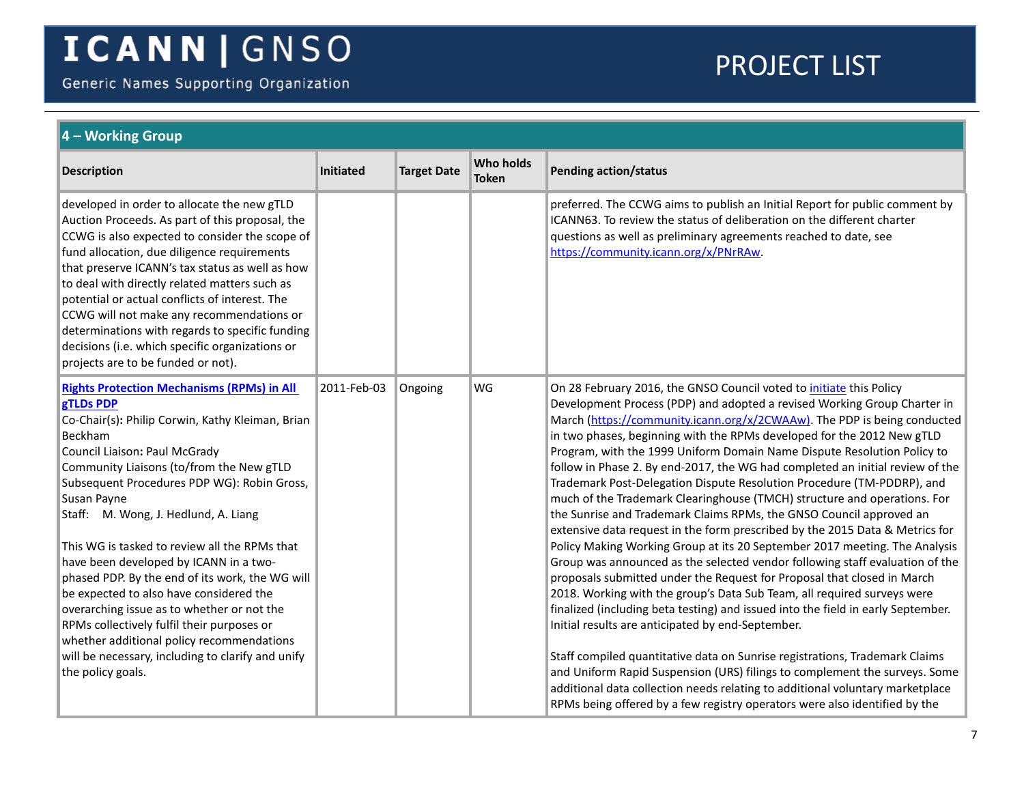Generic Names Supporting Organization

<span id="page-6-0"></span>

| 4 - Working Group                                                                                                                                                                                                                                                                                                                                                                                                                                                                                                                                                                                                                                                                                                            |                  |                    |                                  |                                                                                                                                                                                                                                                                                                                                                                                                                                                                                                                                                                                                                                                                                                                                                                                                                                                                                                                                                                                                                                                                                                                                                                                                                                                                                                                                                                                                                                                                                                                                                                         |  |  |
|------------------------------------------------------------------------------------------------------------------------------------------------------------------------------------------------------------------------------------------------------------------------------------------------------------------------------------------------------------------------------------------------------------------------------------------------------------------------------------------------------------------------------------------------------------------------------------------------------------------------------------------------------------------------------------------------------------------------------|------------------|--------------------|----------------------------------|-------------------------------------------------------------------------------------------------------------------------------------------------------------------------------------------------------------------------------------------------------------------------------------------------------------------------------------------------------------------------------------------------------------------------------------------------------------------------------------------------------------------------------------------------------------------------------------------------------------------------------------------------------------------------------------------------------------------------------------------------------------------------------------------------------------------------------------------------------------------------------------------------------------------------------------------------------------------------------------------------------------------------------------------------------------------------------------------------------------------------------------------------------------------------------------------------------------------------------------------------------------------------------------------------------------------------------------------------------------------------------------------------------------------------------------------------------------------------------------------------------------------------------------------------------------------------|--|--|
| <b>Description</b>                                                                                                                                                                                                                                                                                                                                                                                                                                                                                                                                                                                                                                                                                                           | <b>Initiated</b> | <b>Target Date</b> | <b>Who holds</b><br><b>Token</b> | <b>Pending action/status</b>                                                                                                                                                                                                                                                                                                                                                                                                                                                                                                                                                                                                                                                                                                                                                                                                                                                                                                                                                                                                                                                                                                                                                                                                                                                                                                                                                                                                                                                                                                                                            |  |  |
| developed in order to allocate the new gTLD<br>Auction Proceeds. As part of this proposal, the<br>CCWG is also expected to consider the scope of<br>fund allocation, due diligence requirements<br>that preserve ICANN's tax status as well as how<br>to deal with directly related matters such as<br>potential or actual conflicts of interest. The<br>CCWG will not make any recommendations or<br>determinations with regards to specific funding<br>decisions (i.e. which specific organizations or<br>projects are to be funded or not).                                                                                                                                                                               |                  |                    |                                  | preferred. The CCWG aims to publish an Initial Report for public comment by<br>ICANN63. To review the status of deliberation on the different charter<br>questions as well as preliminary agreements reached to date, see<br>https://community.icann.org/x/PNrRAw.                                                                                                                                                                                                                                                                                                                                                                                                                                                                                                                                                                                                                                                                                                                                                                                                                                                                                                                                                                                                                                                                                                                                                                                                                                                                                                      |  |  |
| <b>Rights Protection Mechanisms (RPMs) in All</b><br>gTLDs PDP<br>Co-Chair(s): Philip Corwin, Kathy Kleiman, Brian<br>Beckham<br>Council Liaison: Paul McGrady<br>Community Liaisons (to/from the New gTLD<br>Subsequent Procedures PDP WG): Robin Gross,<br>Susan Payne<br>Staff: M. Wong, J. Hedlund, A. Liang<br>This WG is tasked to review all the RPMs that<br>have been developed by ICANN in a two-<br>phased PDP. By the end of its work, the WG will<br>be expected to also have considered the<br>overarching issue as to whether or not the<br>RPMs collectively fulfil their purposes or<br>whether additional policy recommendations<br>will be necessary, including to clarify and unify<br>the policy goals. | 2011-Feb-03      | Ongoing            | WG                               | On 28 February 2016, the GNSO Council voted to initiate this Policy<br>Development Process (PDP) and adopted a revised Working Group Charter in<br>March (https://community.icann.org/x/2CWAAw). The PDP is being conducted<br>in two phases, beginning with the RPMs developed for the 2012 New gTLD<br>Program, with the 1999 Uniform Domain Name Dispute Resolution Policy to<br>follow in Phase 2. By end-2017, the WG had completed an initial review of the<br>Trademark Post-Delegation Dispute Resolution Procedure (TM-PDDRP), and<br>much of the Trademark Clearinghouse (TMCH) structure and operations. For<br>the Sunrise and Trademark Claims RPMs, the GNSO Council approved an<br>extensive data request in the form prescribed by the 2015 Data & Metrics for<br>Policy Making Working Group at its 20 September 2017 meeting. The Analysis<br>Group was announced as the selected vendor following staff evaluation of the<br>proposals submitted under the Request for Proposal that closed in March<br>2018. Working with the group's Data Sub Team, all required surveys were<br>finalized (including beta testing) and issued into the field in early September.<br>Initial results are anticipated by end-September.<br>Staff compiled quantitative data on Sunrise registrations, Trademark Claims<br>and Uniform Rapid Suspension (URS) filings to complement the surveys. Some<br>additional data collection needs relating to additional voluntary marketplace<br>RPMs being offered by a few registry operators were also identified by the |  |  |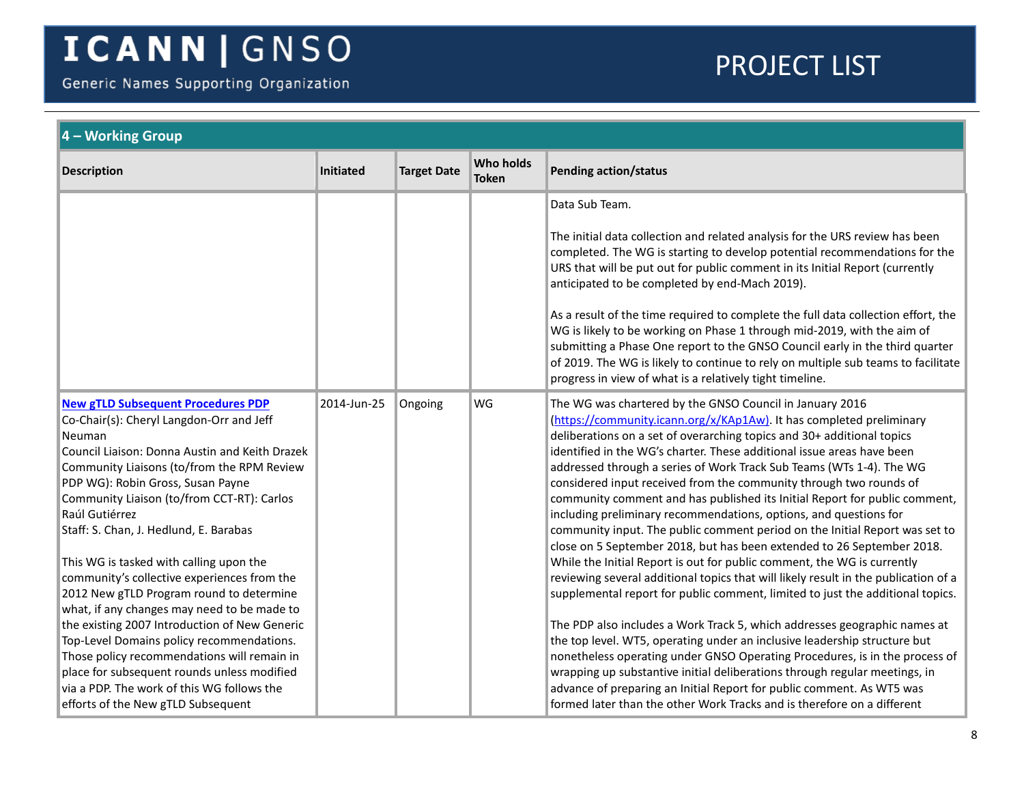Generic Names Supporting Organization

<span id="page-7-0"></span>

| <b>Target Date</b> | <b>Who holds</b><br><b>Token</b> | <b>Pending action/status</b><br>Data Sub Team.<br>The initial data collection and related analysis for the URS review has been<br>completed. The WG is starting to develop potential recommendations for the<br>URS that will be put out for public comment in its Initial Report (currently<br>anticipated to be completed by end-Mach 2019).                                                                                                                                                                                                                                                                                                                                                                                                                                                                                                                                                                                                                                                                                                                                                                                                                                                                                                                                                                                                                                                     |
|--------------------|----------------------------------|----------------------------------------------------------------------------------------------------------------------------------------------------------------------------------------------------------------------------------------------------------------------------------------------------------------------------------------------------------------------------------------------------------------------------------------------------------------------------------------------------------------------------------------------------------------------------------------------------------------------------------------------------------------------------------------------------------------------------------------------------------------------------------------------------------------------------------------------------------------------------------------------------------------------------------------------------------------------------------------------------------------------------------------------------------------------------------------------------------------------------------------------------------------------------------------------------------------------------------------------------------------------------------------------------------------------------------------------------------------------------------------------------|
|                    |                                  |                                                                                                                                                                                                                                                                                                                                                                                                                                                                                                                                                                                                                                                                                                                                                                                                                                                                                                                                                                                                                                                                                                                                                                                                                                                                                                                                                                                                    |
|                    |                                  |                                                                                                                                                                                                                                                                                                                                                                                                                                                                                                                                                                                                                                                                                                                                                                                                                                                                                                                                                                                                                                                                                                                                                                                                                                                                                                                                                                                                    |
|                    |                                  |                                                                                                                                                                                                                                                                                                                                                                                                                                                                                                                                                                                                                                                                                                                                                                                                                                                                                                                                                                                                                                                                                                                                                                                                                                                                                                                                                                                                    |
|                    |                                  | As a result of the time required to complete the full data collection effort, the<br>WG is likely to be working on Phase 1 through mid-2019, with the aim of<br>submitting a Phase One report to the GNSO Council early in the third quarter<br>of 2019. The WG is likely to continue to rely on multiple sub teams to facilitate<br>progress in view of what is a relatively tight timeline.                                                                                                                                                                                                                                                                                                                                                                                                                                                                                                                                                                                                                                                                                                                                                                                                                                                                                                                                                                                                      |
| Ongoing            | WG                               | The WG was chartered by the GNSO Council in January 2016<br>(https://community.icann.org/x/KAp1Aw). It has completed preliminary<br>deliberations on a set of overarching topics and 30+ additional topics<br>identified in the WG's charter. These additional issue areas have been<br>addressed through a series of Work Track Sub Teams (WTs 1-4). The WG<br>considered input received from the community through two rounds of<br>community comment and has published its Initial Report for public comment,<br>including preliminary recommendations, options, and questions for<br>community input. The public comment period on the Initial Report was set to<br>close on 5 September 2018, but has been extended to 26 September 2018.<br>While the Initial Report is out for public comment, the WG is currently<br>reviewing several additional topics that will likely result in the publication of a<br>supplemental report for public comment, limited to just the additional topics.<br>The PDP also includes a Work Track 5, which addresses geographic names at<br>the top level. WT5, operating under an inclusive leadership structure but<br>nonetheless operating under GNSO Operating Procedures, is in the process of<br>wrapping up substantive initial deliberations through regular meetings, in<br>advance of preparing an Initial Report for public comment. As WT5 was |
|                    |                                  |                                                                                                                                                                                                                                                                                                                                                                                                                                                                                                                                                                                                                                                                                                                                                                                                                                                                                                                                                                                                                                                                                                                                                                                                                                                                                                                                                                                                    |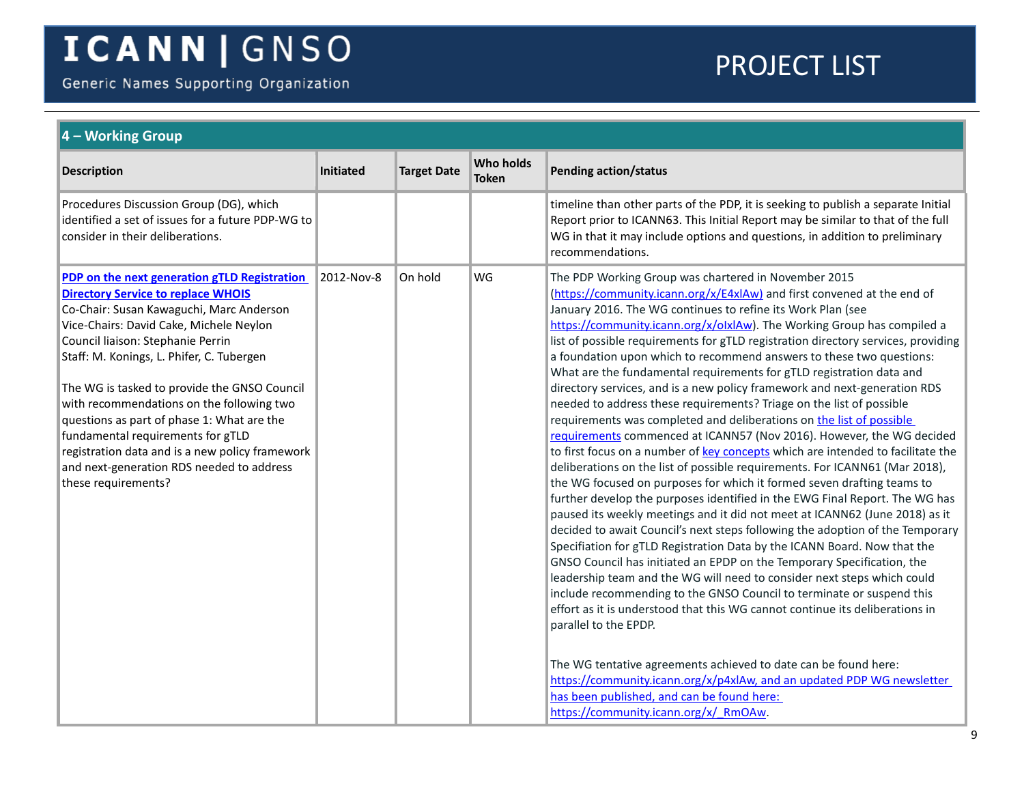Generic Names Supporting Organization

<span id="page-8-0"></span>

| $\vert$ 4 – Working Group                                                                                                                                                                                                                                                                                                                                                                                                                                                                                                                                                 |            |                    |                                  |                                                                                                                                                                                                                                                                                                                                                                                                                                                                                                                                                                                                                                                                                                                                                                                                                                                                                                                                                                                                                                                                                                                                                                                                                                                                                                                                                                                                                                                                                                                                                                                                                                                                                                                                                                                                                                                                                                                                                                        |  |  |
|---------------------------------------------------------------------------------------------------------------------------------------------------------------------------------------------------------------------------------------------------------------------------------------------------------------------------------------------------------------------------------------------------------------------------------------------------------------------------------------------------------------------------------------------------------------------------|------------|--------------------|----------------------------------|------------------------------------------------------------------------------------------------------------------------------------------------------------------------------------------------------------------------------------------------------------------------------------------------------------------------------------------------------------------------------------------------------------------------------------------------------------------------------------------------------------------------------------------------------------------------------------------------------------------------------------------------------------------------------------------------------------------------------------------------------------------------------------------------------------------------------------------------------------------------------------------------------------------------------------------------------------------------------------------------------------------------------------------------------------------------------------------------------------------------------------------------------------------------------------------------------------------------------------------------------------------------------------------------------------------------------------------------------------------------------------------------------------------------------------------------------------------------------------------------------------------------------------------------------------------------------------------------------------------------------------------------------------------------------------------------------------------------------------------------------------------------------------------------------------------------------------------------------------------------------------------------------------------------------------------------------------------------|--|--|
| <b>Description</b>                                                                                                                                                                                                                                                                                                                                                                                                                                                                                                                                                        | Initiated  | <b>Target Date</b> | <b>Who holds</b><br><b>Token</b> | <b>Pending action/status</b>                                                                                                                                                                                                                                                                                                                                                                                                                                                                                                                                                                                                                                                                                                                                                                                                                                                                                                                                                                                                                                                                                                                                                                                                                                                                                                                                                                                                                                                                                                                                                                                                                                                                                                                                                                                                                                                                                                                                           |  |  |
| Procedures Discussion Group (DG), which<br>identified a set of issues for a future PDP-WG to<br>consider in their deliberations.                                                                                                                                                                                                                                                                                                                                                                                                                                          |            |                    |                                  | timeline than other parts of the PDP, it is seeking to publish a separate Initial<br>Report prior to ICANN63. This Initial Report may be similar to that of the full<br>WG in that it may include options and questions, in addition to preliminary<br>recommendations.                                                                                                                                                                                                                                                                                                                                                                                                                                                                                                                                                                                                                                                                                                                                                                                                                                                                                                                                                                                                                                                                                                                                                                                                                                                                                                                                                                                                                                                                                                                                                                                                                                                                                                |  |  |
| PDP on the next generation gTLD Registration<br><b>Directory Service to replace WHOIS</b><br>Co-Chair: Susan Kawaguchi, Marc Anderson<br>Vice-Chairs: David Cake, Michele Neylon<br>Council liaison: Stephanie Perrin<br>Staff: M. Konings, L. Phifer, C. Tubergen<br>The WG is tasked to provide the GNSO Council<br>with recommendations on the following two<br>questions as part of phase 1: What are the<br>fundamental requirements for gTLD<br>registration data and is a new policy framework<br>and next-generation RDS needed to address<br>these requirements? | 2012-Nov-8 | On hold            | WG                               | The PDP Working Group was chartered in November 2015<br>(https://community.icann.org/x/E4xIAw) and first convened at the end of<br>January 2016. The WG continues to refine its Work Plan (see<br>https://community.icann.org/x/olxlAw). The Working Group has compiled a<br>list of possible requirements for gTLD registration directory services, providing<br>a foundation upon which to recommend answers to these two questions:<br>What are the fundamental requirements for gTLD registration data and<br>directory services, and is a new policy framework and next-generation RDS<br>needed to address these requirements? Triage on the list of possible<br>requirements was completed and deliberations on the list of possible<br>requirements commenced at ICANN57 (Nov 2016). However, the WG decided<br>to first focus on a number of key concepts which are intended to facilitate the<br>deliberations on the list of possible requirements. For ICANN61 (Mar 2018),<br>the WG focused on purposes for which it formed seven drafting teams to<br>further develop the purposes identified in the EWG Final Report. The WG has<br>paused its weekly meetings and it did not meet at ICANN62 (June 2018) as it<br>decided to await Council's next steps following the adoption of the Temporary<br>Specifiation for gTLD Registration Data by the ICANN Board. Now that the<br>GNSO Council has initiated an EPDP on the Temporary Specification, the<br>leadership team and the WG will need to consider next steps which could<br>include recommending to the GNSO Council to terminate or suspend this<br>effort as it is understood that this WG cannot continue its deliberations in<br>parallel to the EPDP.<br>The WG tentative agreements achieved to date can be found here:<br>https://community.icann.org/x/p4xlAw, and an updated PDP WG newsletter<br>has been published, and can be found here:<br>https://community.icann.org/x/ RmOAw. |  |  |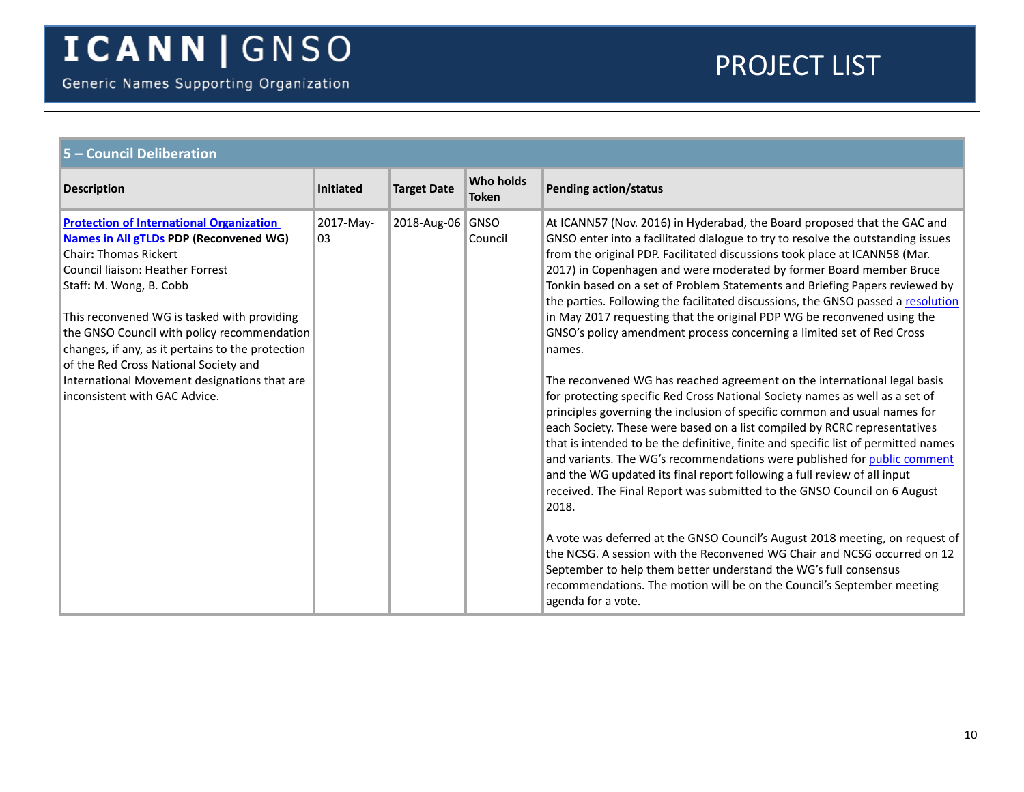<span id="page-9-0"></span>

| 5 - Council Deliberation                                                                                                                                                                                                                                                                                                                                                                                                                                                     |                  |                    |                                  |                                                                                                                                                                                                                                                                                                                                                                                                                                                                                                                                                                                                                                                                                                                                                                                                                                                                                                                                                                                                                                                                                                                                           |  |
|------------------------------------------------------------------------------------------------------------------------------------------------------------------------------------------------------------------------------------------------------------------------------------------------------------------------------------------------------------------------------------------------------------------------------------------------------------------------------|------------------|--------------------|----------------------------------|-------------------------------------------------------------------------------------------------------------------------------------------------------------------------------------------------------------------------------------------------------------------------------------------------------------------------------------------------------------------------------------------------------------------------------------------------------------------------------------------------------------------------------------------------------------------------------------------------------------------------------------------------------------------------------------------------------------------------------------------------------------------------------------------------------------------------------------------------------------------------------------------------------------------------------------------------------------------------------------------------------------------------------------------------------------------------------------------------------------------------------------------|--|
| <b>Description</b>                                                                                                                                                                                                                                                                                                                                                                                                                                                           | <b>Initiated</b> | <b>Target Date</b> | <b>Who holds</b><br><b>Token</b> | <b>Pending action/status</b>                                                                                                                                                                                                                                                                                                                                                                                                                                                                                                                                                                                                                                                                                                                                                                                                                                                                                                                                                                                                                                                                                                              |  |
| <b>Protection of International Organization</b><br><b>Names in All gTLDs PDP (Reconvened WG)</b><br><b>Chair: Thomas Rickert</b><br>Council liaison: Heather Forrest<br>Staff: M. Wong, B. Cobb<br>This reconvened WG is tasked with providing<br>the GNSO Council with policy recommendation<br>changes, if any, as it pertains to the protection<br>of the Red Cross National Society and<br>International Movement designations that are<br>inconsistent with GAC Advice. | 2017-May-<br>03  | 2018-Aug-06 GNSO   | Council                          | At ICANN57 (Nov. 2016) in Hyderabad, the Board proposed that the GAC and<br>GNSO enter into a facilitated dialogue to try to resolve the outstanding issues<br>from the original PDP. Facilitated discussions took place at ICANN58 (Mar.<br>2017) in Copenhagen and were moderated by former Board member Bruce<br>Tonkin based on a set of Problem Statements and Briefing Papers reviewed by<br>the parties. Following the facilitated discussions, the GNSO passed a resolution<br>in May 2017 requesting that the original PDP WG be reconvened using the<br>GNSO's policy amendment process concerning a limited set of Red Cross<br>names.<br>The reconvened WG has reached agreement on the international legal basis<br>for protecting specific Red Cross National Society names as well as a set of<br>principles governing the inclusion of specific common and usual names for<br>each Society. These were based on a list compiled by RCRC representatives<br>that is intended to be the definitive, finite and specific list of permitted names<br>and variants. The WG's recommendations were published for public comment |  |
|                                                                                                                                                                                                                                                                                                                                                                                                                                                                              |                  |                    |                                  | and the WG updated its final report following a full review of all input<br>received. The Final Report was submitted to the GNSO Council on 6 August<br>2018.<br>A vote was deferred at the GNSO Council's August 2018 meeting, on request of<br>the NCSG. A session with the Reconvened WG Chair and NCSG occurred on 12<br>September to help them better understand the WG's full consensus<br>recommendations. The motion will be on the Council's September meeting<br>agenda for a vote.                                                                                                                                                                                                                                                                                                                                                                                                                                                                                                                                                                                                                                             |  |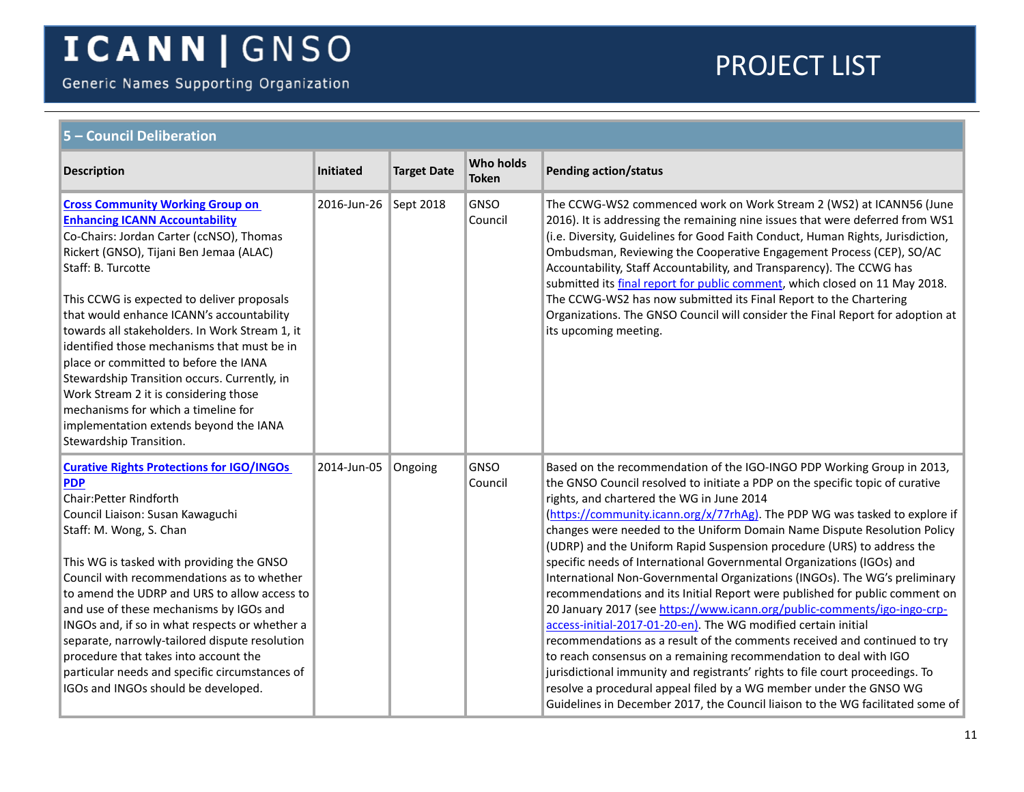Generic Names Supporting Organization

<span id="page-10-1"></span><span id="page-10-0"></span>

| 5 - Council Deliberation                                                                                                                                                                                                                                                                                                                                                                                                                                                                                                                                                                                                                |                       |                    |                                  |                                                                                                                                                                                                                                                                                                                                                                                                                                                                                                                                                                                                                                                                                                                                                                                                                                                                                                                                                                                                                                                                                                                                                                                                                          |  |  |  |
|-----------------------------------------------------------------------------------------------------------------------------------------------------------------------------------------------------------------------------------------------------------------------------------------------------------------------------------------------------------------------------------------------------------------------------------------------------------------------------------------------------------------------------------------------------------------------------------------------------------------------------------------|-----------------------|--------------------|----------------------------------|--------------------------------------------------------------------------------------------------------------------------------------------------------------------------------------------------------------------------------------------------------------------------------------------------------------------------------------------------------------------------------------------------------------------------------------------------------------------------------------------------------------------------------------------------------------------------------------------------------------------------------------------------------------------------------------------------------------------------------------------------------------------------------------------------------------------------------------------------------------------------------------------------------------------------------------------------------------------------------------------------------------------------------------------------------------------------------------------------------------------------------------------------------------------------------------------------------------------------|--|--|--|
| <b>Description</b>                                                                                                                                                                                                                                                                                                                                                                                                                                                                                                                                                                                                                      | Initiated             | <b>Target Date</b> | <b>Who holds</b><br><b>Token</b> | <b>Pending action/status</b>                                                                                                                                                                                                                                                                                                                                                                                                                                                                                                                                                                                                                                                                                                                                                                                                                                                                                                                                                                                                                                                                                                                                                                                             |  |  |  |
| <b>Cross Community Working Group on</b><br><b>Enhancing ICANN Accountability</b><br>Co-Chairs: Jordan Carter (ccNSO), Thomas<br>Rickert (GNSO), Tijani Ben Jemaa (ALAC)<br>Staff: B. Turcotte<br>This CCWG is expected to deliver proposals<br>that would enhance ICANN's accountability<br>towards all stakeholders. In Work Stream 1, it<br>identified those mechanisms that must be in<br>place or committed to before the IANA<br>Stewardship Transition occurs. Currently, in<br>Work Stream 2 it is considering those<br>mechanisms for which a timeline for<br>implementation extends beyond the IANA<br>Stewardship Transition. | 2016-Jun-26 Sept 2018 |                    | GNSO<br>Council                  | The CCWG-WS2 commenced work on Work Stream 2 (WS2) at ICANN56 (June<br>2016). It is addressing the remaining nine issues that were deferred from WS1<br>(i.e. Diversity, Guidelines for Good Faith Conduct, Human Rights, Jurisdiction,<br>Ombudsman, Reviewing the Cooperative Engagement Process (CEP), SO/AC<br>Accountability, Staff Accountability, and Transparency). The CCWG has<br>submitted its <i>final report for public comment</i> , which closed on 11 May 2018.<br>The CCWG-WS2 has now submitted its Final Report to the Chartering<br>Organizations. The GNSO Council will consider the Final Report for adoption at<br>its upcoming meeting.                                                                                                                                                                                                                                                                                                                                                                                                                                                                                                                                                          |  |  |  |
| <b>Curative Rights Protections for IGO/INGOs</b><br><b>PDP</b><br><b>Chair:Petter Rindforth</b><br>Council Liaison: Susan Kawaguchi<br>Staff: M. Wong, S. Chan<br>This WG is tasked with providing the GNSO<br>Council with recommendations as to whether<br>to amend the UDRP and URS to allow access to<br>and use of these mechanisms by IGOs and<br>INGOs and, if so in what respects or whether a<br>separate, narrowly-tailored dispute resolution<br>procedure that takes into account the<br>particular needs and specific circumstances of<br>IGOs and INGOs should be developed.                                              | 2014-Jun-05           | Ongoing            | GNSO<br>Council                  | Based on the recommendation of the IGO-INGO PDP Working Group in 2013,<br>the GNSO Council resolved to initiate a PDP on the specific topic of curative<br>rights, and chartered the WG in June 2014<br>(https://community.icann.org/x/77rhAg). The PDP WG was tasked to explore if<br>changes were needed to the Uniform Domain Name Dispute Resolution Policy<br>(UDRP) and the Uniform Rapid Suspension procedure (URS) to address the<br>specific needs of International Governmental Organizations (IGOs) and<br>International Non-Governmental Organizations (INGOs). The WG's preliminary<br>recommendations and its Initial Report were published for public comment on<br>20 January 2017 (see https://www.icann.org/public-comments/igo-ingo-crp-<br>access-initial-2017-01-20-en). The WG modified certain initial<br>recommendations as a result of the comments received and continued to try<br>to reach consensus on a remaining recommendation to deal with IGO<br>jurisdictional immunity and registrants' rights to file court proceedings. To<br>resolve a procedural appeal filed by a WG member under the GNSO WG<br>Guidelines in December 2017, the Council liaison to the WG facilitated some of |  |  |  |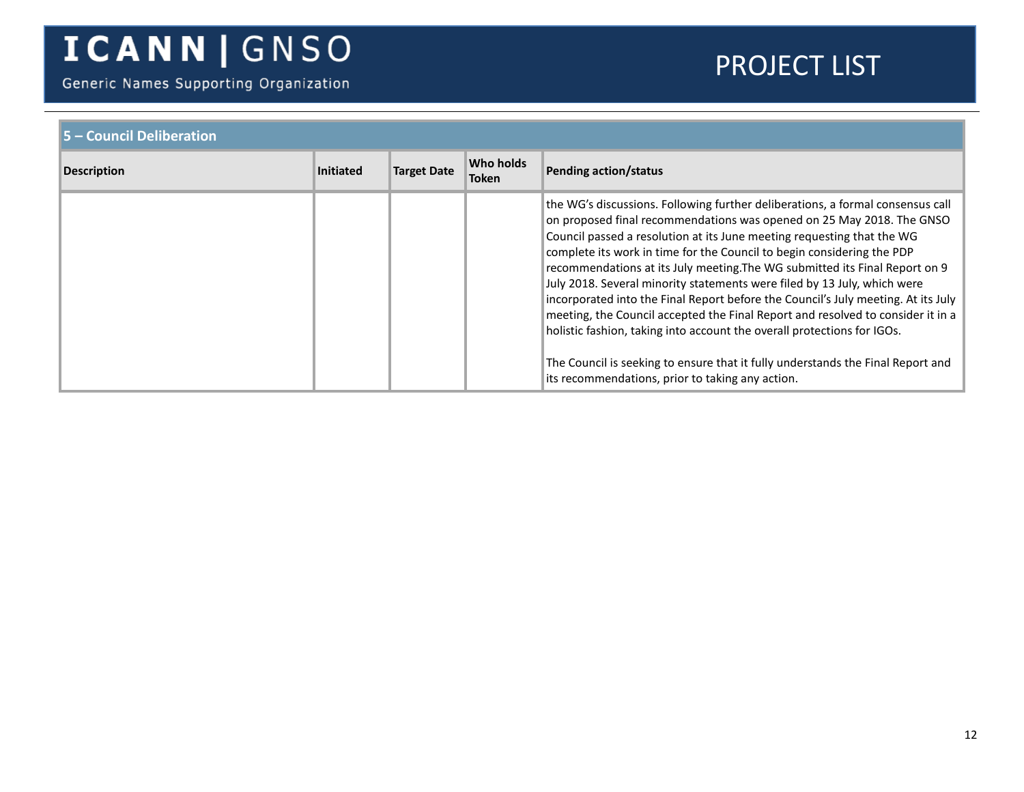Generic Names Supporting Organization

| 5 - Council Deliberation |                  |                    |                                  |                                                                                                                                                                                                                                                                                                                                                                                                                                                                                                                                                                                                                                                                                                                                                                                                                                                                  |  |
|--------------------------|------------------|--------------------|----------------------------------|------------------------------------------------------------------------------------------------------------------------------------------------------------------------------------------------------------------------------------------------------------------------------------------------------------------------------------------------------------------------------------------------------------------------------------------------------------------------------------------------------------------------------------------------------------------------------------------------------------------------------------------------------------------------------------------------------------------------------------------------------------------------------------------------------------------------------------------------------------------|--|
| <b>Description</b>       | <b>Initiated</b> | <b>Target Date</b> | <b>Who holds</b><br><b>Token</b> | <b>Pending action/status</b>                                                                                                                                                                                                                                                                                                                                                                                                                                                                                                                                                                                                                                                                                                                                                                                                                                     |  |
|                          |                  |                    |                                  | the WG's discussions. Following further deliberations, a formal consensus call<br>on proposed final recommendations was opened on 25 May 2018. The GNSO<br>Council passed a resolution at its June meeting requesting that the WG<br>complete its work in time for the Council to begin considering the PDP<br>recommendations at its July meeting. The WG submitted its Final Report on 9<br>July 2018. Several minority statements were filed by 13 July, which were<br>incorporated into the Final Report before the Council's July meeting. At its July<br>meeting, the Council accepted the Final Report and resolved to consider it in a<br>holistic fashion, taking into account the overall protections for IGOs.<br>The Council is seeking to ensure that it fully understands the Final Report and<br>its recommendations, prior to taking any action. |  |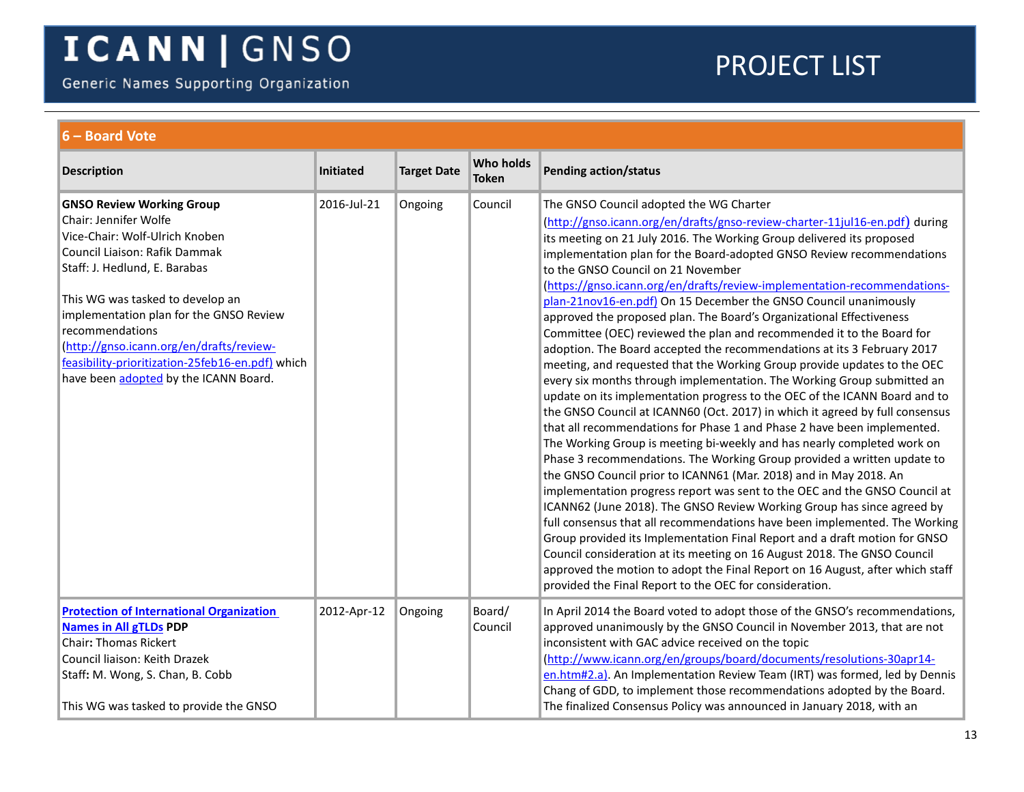Generic Names Supporting Organization

<span id="page-12-1"></span><span id="page-12-0"></span>

| 6 – Board Vote                                                                                                                                                                                                                                                                                                                                                                                           |             |                    |                                  |                                                                                                                                                                                                                                                                                                                                                                                                                                                                                                                                                                                                                                                                                                                                                                                                                                                                                                                                                                                                                                                                                                                                                                                                                                                                                                                                                                                                                                                                                                                                                                                                                                                                                                                                                                                                                                                                   |  |  |  |  |
|----------------------------------------------------------------------------------------------------------------------------------------------------------------------------------------------------------------------------------------------------------------------------------------------------------------------------------------------------------------------------------------------------------|-------------|--------------------|----------------------------------|-------------------------------------------------------------------------------------------------------------------------------------------------------------------------------------------------------------------------------------------------------------------------------------------------------------------------------------------------------------------------------------------------------------------------------------------------------------------------------------------------------------------------------------------------------------------------------------------------------------------------------------------------------------------------------------------------------------------------------------------------------------------------------------------------------------------------------------------------------------------------------------------------------------------------------------------------------------------------------------------------------------------------------------------------------------------------------------------------------------------------------------------------------------------------------------------------------------------------------------------------------------------------------------------------------------------------------------------------------------------------------------------------------------------------------------------------------------------------------------------------------------------------------------------------------------------------------------------------------------------------------------------------------------------------------------------------------------------------------------------------------------------------------------------------------------------------------------------------------------------|--|--|--|--|
| <b>Description</b>                                                                                                                                                                                                                                                                                                                                                                                       | Initiated   | <b>Target Date</b> | <b>Who holds</b><br><b>Token</b> | <b>Pending action/status</b>                                                                                                                                                                                                                                                                                                                                                                                                                                                                                                                                                                                                                                                                                                                                                                                                                                                                                                                                                                                                                                                                                                                                                                                                                                                                                                                                                                                                                                                                                                                                                                                                                                                                                                                                                                                                                                      |  |  |  |  |
| <b>GNSO Review Working Group</b><br>Chair: Jennifer Wolfe<br>Vice-Chair: Wolf-Ulrich Knoben<br>Council Liaison: Rafik Dammak<br>Staff: J. Hedlund, E. Barabas<br>This WG was tasked to develop an<br>implementation plan for the GNSO Review<br>recommendations<br>(http://gnso.icann.org/en/drafts/review-<br>feasibility-prioritization-25feb16-en.pdf) which<br>have been adopted by the ICANN Board. | 2016-Jul-21 | Ongoing            | Council                          | The GNSO Council adopted the WG Charter<br>(http://gnso.icann.org/en/drafts/gnso-review-charter-11jul16-en.pdf) during<br>its meeting on 21 July 2016. The Working Group delivered its proposed<br>implementation plan for the Board-adopted GNSO Review recommendations<br>to the GNSO Council on 21 November<br>(https://gnso.icann.org/en/drafts/review-implementation-recommendations-<br>plan-21nov16-en.pdf) On 15 December the GNSO Council unanimously<br>approved the proposed plan. The Board's Organizational Effectiveness<br>Committee (OEC) reviewed the plan and recommended it to the Board for<br>adoption. The Board accepted the recommendations at its 3 February 2017<br>meeting, and requested that the Working Group provide updates to the OEC<br>every six months through implementation. The Working Group submitted an<br>update on its implementation progress to the OEC of the ICANN Board and to<br>the GNSO Council at ICANN60 (Oct. 2017) in which it agreed by full consensus<br>that all recommendations for Phase 1 and Phase 2 have been implemented.<br>The Working Group is meeting bi-weekly and has nearly completed work on<br>Phase 3 recommendations. The Working Group provided a written update to<br>the GNSO Council prior to ICANN61 (Mar. 2018) and in May 2018. An<br>implementation progress report was sent to the OEC and the GNSO Council at<br>ICANN62 (June 2018). The GNSO Review Working Group has since agreed by<br>full consensus that all recommendations have been implemented. The Working<br>Group provided its Implementation Final Report and a draft motion for GNSO<br>Council consideration at its meeting on 16 August 2018. The GNSO Council<br>approved the motion to adopt the Final Report on 16 August, after which staff<br>provided the Final Report to the OEC for consideration. |  |  |  |  |
| <b>Protection of International Organization</b><br><b>Names in All gTLDs PDP</b><br><b>Chair: Thomas Rickert</b><br>Council liaison: Keith Drazek<br>Staff: M. Wong, S. Chan, B. Cobb<br>This WG was tasked to provide the GNSO                                                                                                                                                                          | 2012-Apr-12 | Ongoing            | Board/<br>Council                | In April 2014 the Board voted to adopt those of the GNSO's recommendations,<br>approved unanimously by the GNSO Council in November 2013, that are not<br>inconsistent with GAC advice received on the topic<br>(http://www.icann.org/en/groups/board/documents/resolutions-30apr14-<br>en.htm#2.a). An Implementation Review Team (IRT) was formed, led by Dennis<br>Chang of GDD, to implement those recommendations adopted by the Board.<br>The finalized Consensus Policy was announced in January 2018, with an                                                                                                                                                                                                                                                                                                                                                                                                                                                                                                                                                                                                                                                                                                                                                                                                                                                                                                                                                                                                                                                                                                                                                                                                                                                                                                                                             |  |  |  |  |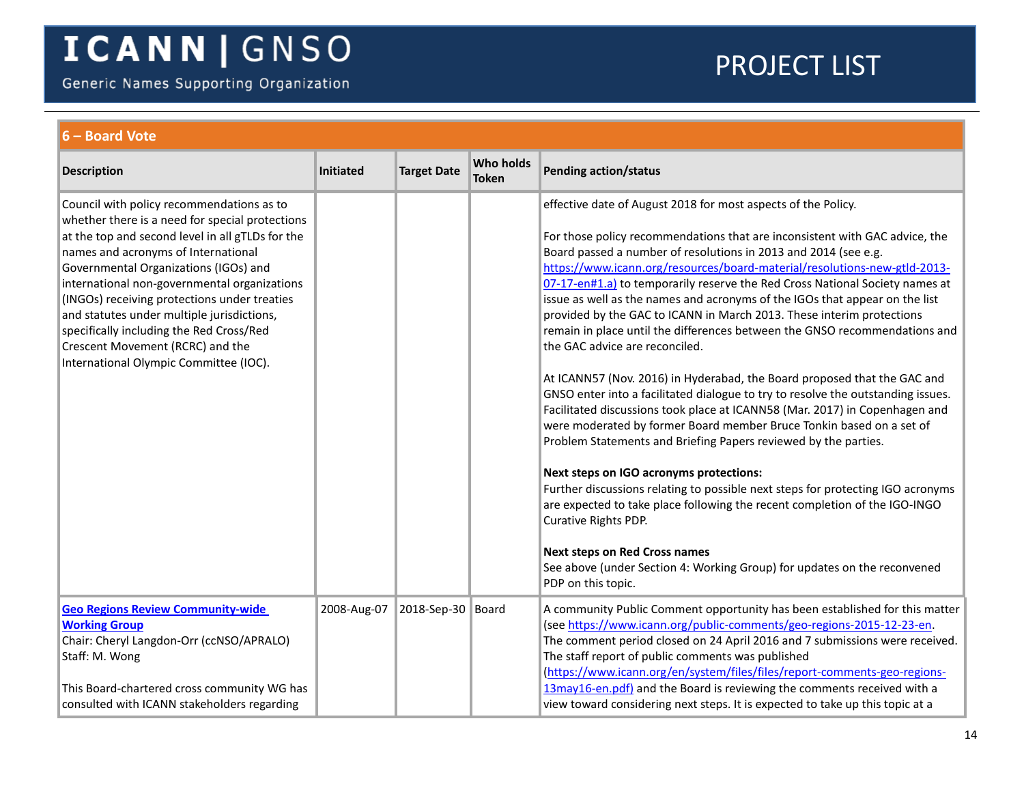Generic Names Supporting Organization

<span id="page-13-0"></span>

| 6 - Board Vote                                                                                                                                                                                                                                                                                                                                                                                                                                                                                           |                  |                    |                                  |                                                                                                                                                                                                                                                                                                                                                                                                                                                                                                                                                                                                                                                                                                                                                                                                                                                                                                                                                                                                                                                                                                                                                                                                                                                                                                                                                                                                                              |  |  |
|----------------------------------------------------------------------------------------------------------------------------------------------------------------------------------------------------------------------------------------------------------------------------------------------------------------------------------------------------------------------------------------------------------------------------------------------------------------------------------------------------------|------------------|--------------------|----------------------------------|------------------------------------------------------------------------------------------------------------------------------------------------------------------------------------------------------------------------------------------------------------------------------------------------------------------------------------------------------------------------------------------------------------------------------------------------------------------------------------------------------------------------------------------------------------------------------------------------------------------------------------------------------------------------------------------------------------------------------------------------------------------------------------------------------------------------------------------------------------------------------------------------------------------------------------------------------------------------------------------------------------------------------------------------------------------------------------------------------------------------------------------------------------------------------------------------------------------------------------------------------------------------------------------------------------------------------------------------------------------------------------------------------------------------------|--|--|
| <b>Description</b>                                                                                                                                                                                                                                                                                                                                                                                                                                                                                       | <b>Initiated</b> | <b>Target Date</b> | <b>Who holds</b><br><b>Token</b> | <b>Pending action/status</b>                                                                                                                                                                                                                                                                                                                                                                                                                                                                                                                                                                                                                                                                                                                                                                                                                                                                                                                                                                                                                                                                                                                                                                                                                                                                                                                                                                                                 |  |  |
| Council with policy recommendations as to<br>whether there is a need for special protections<br>at the top and second level in all gTLDs for the<br>names and acronyms of International<br>Governmental Organizations (IGOs) and<br>international non-governmental organizations<br>(INGOs) receiving protections under treaties<br>and statutes under multiple jurisdictions,<br>specifically including the Red Cross/Red<br>Crescent Movement (RCRC) and the<br>International Olympic Committee (IOC). |                  |                    |                                  | effective date of August 2018 for most aspects of the Policy.<br>For those policy recommendations that are inconsistent with GAC advice, the<br>Board passed a number of resolutions in 2013 and 2014 (see e.g.<br>https://www.icann.org/resources/board-material/resolutions-new-gtld-2013-<br>07-17-en#1.a) to temporarily reserve the Red Cross National Society names at<br>issue as well as the names and acronyms of the IGOs that appear on the list<br>provided by the GAC to ICANN in March 2013. These interim protections<br>remain in place until the differences between the GNSO recommendations and<br>the GAC advice are reconciled.<br>At ICANN57 (Nov. 2016) in Hyderabad, the Board proposed that the GAC and<br>GNSO enter into a facilitated dialogue to try to resolve the outstanding issues.<br>Facilitated discussions took place at ICANN58 (Mar. 2017) in Copenhagen and<br>were moderated by former Board member Bruce Tonkin based on a set of<br>Problem Statements and Briefing Papers reviewed by the parties.<br>Next steps on IGO acronyms protections:<br>Further discussions relating to possible next steps for protecting IGO acronyms<br>are expected to take place following the recent completion of the IGO-INGO<br>Curative Rights PDP.<br><b>Next steps on Red Cross names</b><br>See above (under Section 4: Working Group) for updates on the reconvened<br>PDP on this topic. |  |  |
| <b>Geo Regions Review Community-wide</b><br><b>Working Group</b><br>Chair: Cheryl Langdon-Orr (ccNSO/APRALO)<br>Staff: M. Wong<br>This Board-chartered cross community WG has<br>consulted with ICANN stakeholders regarding                                                                                                                                                                                                                                                                             | 2008-Aug-07      | 2018-Sep-30 Board  |                                  | A community Public Comment opportunity has been established for this matter<br>(see https://www.icann.org/public-comments/geo-regions-2015-12-23-en.<br>The comment period closed on 24 April 2016 and 7 submissions were received.<br>The staff report of public comments was published<br>(https://www.icann.org/en/system/files/files/report-comments-geo-regions-<br>13may16-en.pdf) and the Board is reviewing the comments received with a<br>view toward considering next steps. It is expected to take up this topic at a                                                                                                                                                                                                                                                                                                                                                                                                                                                                                                                                                                                                                                                                                                                                                                                                                                                                                            |  |  |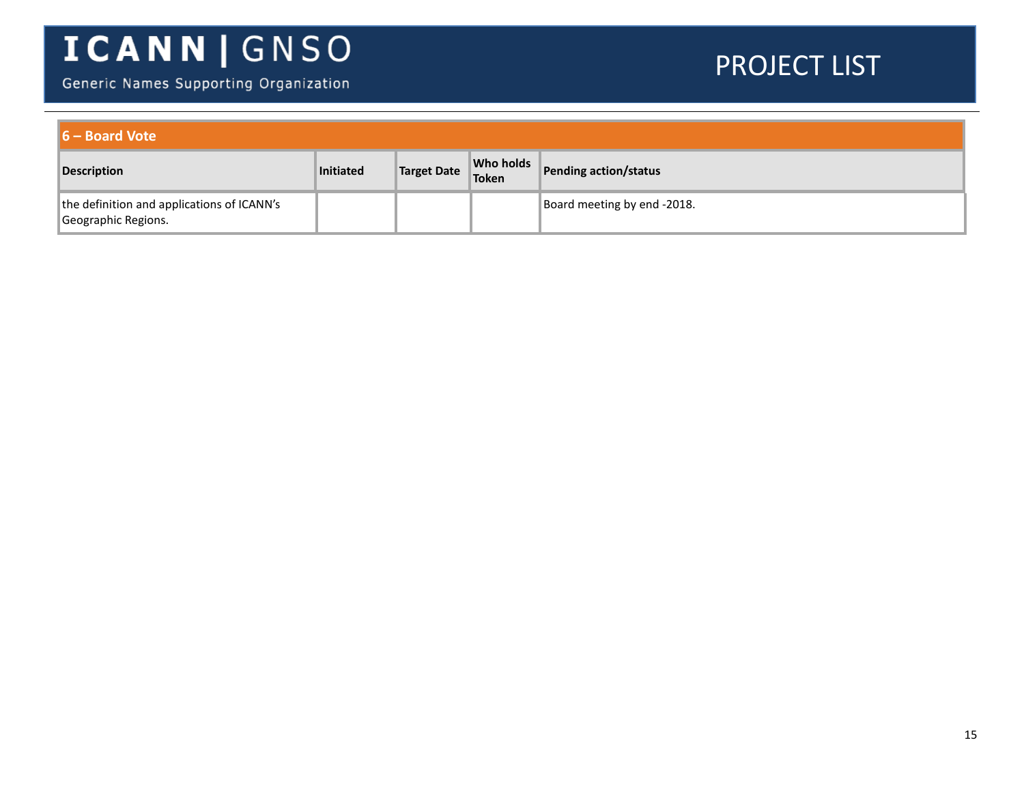Generic Names Supporting Organization

| $\blacksquare$ 6 – Board Vote                                     |                  |                    |                           |                             |  |  |
|-------------------------------------------------------------------|------------------|--------------------|---------------------------|-----------------------------|--|--|
| <b>Description</b>                                                | <b>Initiated</b> | <b>Target Date</b> | Who holds<br><b>Token</b> | Pending action/status       |  |  |
| the definition and applications of ICANN's<br>Geographic Regions. |                  |                    |                           | Board meeting by end -2018. |  |  |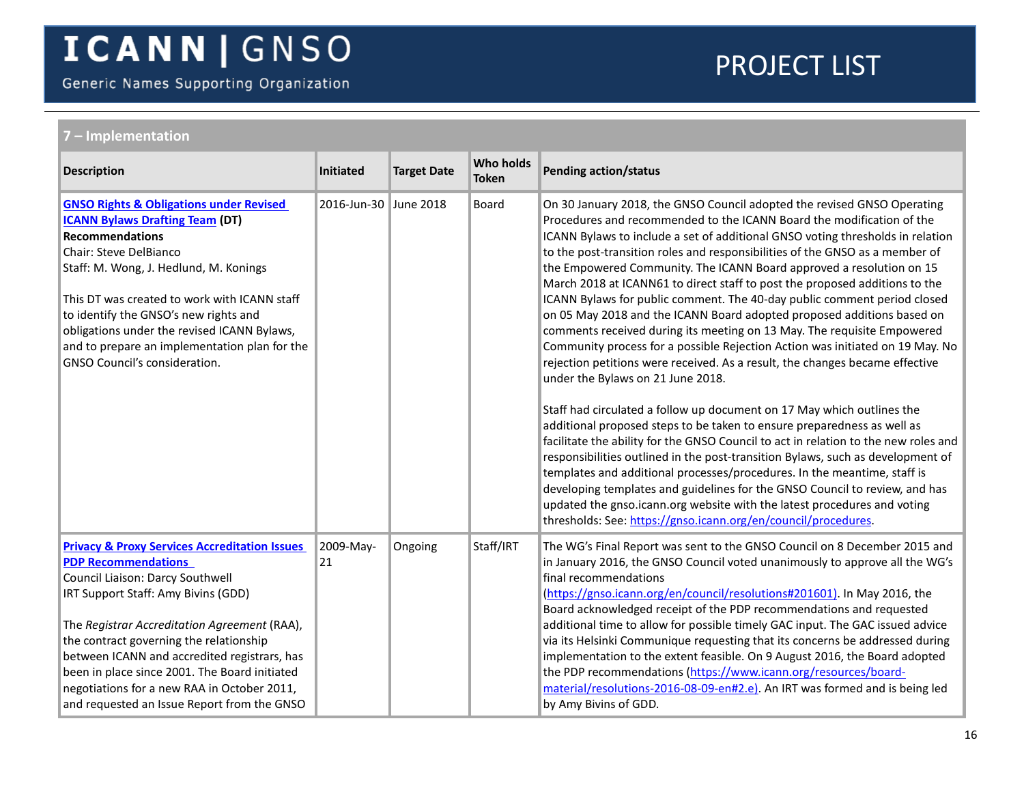Generic Names Supporting Organization

<span id="page-15-1"></span><span id="page-15-0"></span>

| ' – Implementation                                                                                                                                                                                                                                                                                                                                                                                                                                          |                       |                    |                                  |                                                                                                                                                                                                                                                                                                                                                                                                                                                                                                                                                                                                                                                                                                                                                                                                                                                                                                                                                                                                                                                                                                                                                                                                                                                                                                                                                                                                                                                                                                                                                          |  |  |  |
|-------------------------------------------------------------------------------------------------------------------------------------------------------------------------------------------------------------------------------------------------------------------------------------------------------------------------------------------------------------------------------------------------------------------------------------------------------------|-----------------------|--------------------|----------------------------------|----------------------------------------------------------------------------------------------------------------------------------------------------------------------------------------------------------------------------------------------------------------------------------------------------------------------------------------------------------------------------------------------------------------------------------------------------------------------------------------------------------------------------------------------------------------------------------------------------------------------------------------------------------------------------------------------------------------------------------------------------------------------------------------------------------------------------------------------------------------------------------------------------------------------------------------------------------------------------------------------------------------------------------------------------------------------------------------------------------------------------------------------------------------------------------------------------------------------------------------------------------------------------------------------------------------------------------------------------------------------------------------------------------------------------------------------------------------------------------------------------------------------------------------------------------|--|--|--|
| <b>Description</b>                                                                                                                                                                                                                                                                                                                                                                                                                                          | Initiated             | <b>Target Date</b> | <b>Who holds</b><br><b>Token</b> | <b>Pending action/status</b>                                                                                                                                                                                                                                                                                                                                                                                                                                                                                                                                                                                                                                                                                                                                                                                                                                                                                                                                                                                                                                                                                                                                                                                                                                                                                                                                                                                                                                                                                                                             |  |  |  |
| <b>GNSO Rights &amp; Obligations under Revised</b><br><b>ICANN Bylaws Drafting Team (DT)</b><br><b>Recommendations</b><br>Chair: Steve DelBianco<br>Staff: M. Wong, J. Hedlund, M. Konings<br>This DT was created to work with ICANN staff<br>to identify the GNSO's new rights and<br>obligations under the revised ICANN Bylaws,<br>and to prepare an implementation plan for the<br>GNSO Council's consideration.                                        | 2016-Jun-30 June 2018 |                    | <b>Board</b>                     | On 30 January 2018, the GNSO Council adopted the revised GNSO Operating<br>Procedures and recommended to the ICANN Board the modification of the<br>ICANN Bylaws to include a set of additional GNSO voting thresholds in relation<br>to the post-transition roles and responsibilities of the GNSO as a member of<br>the Empowered Community. The ICANN Board approved a resolution on 15<br>March 2018 at ICANN61 to direct staff to post the proposed additions to the<br>ICANN Bylaws for public comment. The 40-day public comment period closed<br>on 05 May 2018 and the ICANN Board adopted proposed additions based on<br>comments received during its meeting on 13 May. The requisite Empowered<br>Community process for a possible Rejection Action was initiated on 19 May. No<br>rejection petitions were received. As a result, the changes became effective<br>under the Bylaws on 21 June 2018.<br>Staff had circulated a follow up document on 17 May which outlines the<br>additional proposed steps to be taken to ensure preparedness as well as<br>facilitate the ability for the GNSO Council to act in relation to the new roles and<br>responsibilities outlined in the post-transition Bylaws, such as development of<br>templates and additional processes/procedures. In the meantime, staff is<br>developing templates and guidelines for the GNSO Council to review, and has<br>updated the gnso.icann.org website with the latest procedures and voting<br>thresholds: See: https://gnso.icann.org/en/council/procedures. |  |  |  |
| <b>Privacy &amp; Proxy Services Accreditation Issues</b><br><b>PDP Recommendations</b><br>Council Liaison: Darcy Southwell<br>IRT Support Staff: Amy Bivins (GDD)<br>The Registrar Accreditation Agreement (RAA),<br>the contract governing the relationship<br>between ICANN and accredited registrars, has<br>been in place since 2001. The Board initiated<br>negotiations for a new RAA in October 2011,<br>and requested an Issue Report from the GNSO | 2009-May-<br>21       | Ongoing            | Staff/IRT                        | The WG's Final Report was sent to the GNSO Council on 8 December 2015 and<br>in January 2016, the GNSO Council voted unanimously to approve all the WG's<br>final recommendations<br>(https://gnso.icann.org/en/council/resolutions#201601). In May 2016, the<br>Board acknowledged receipt of the PDP recommendations and requested<br>additional time to allow for possible timely GAC input. The GAC issued advice<br>via its Helsinki Communique requesting that its concerns be addressed during<br>implementation to the extent feasible. On 9 August 2016, the Board adopted<br>the PDP recommendations (https://www.icann.org/resources/board-<br>material/resolutions-2016-08-09-en#2.e). An IRT was formed and is being led<br>by Amy Bivins of GDD.                                                                                                                                                                                                                                                                                                                                                                                                                                                                                                                                                                                                                                                                                                                                                                                           |  |  |  |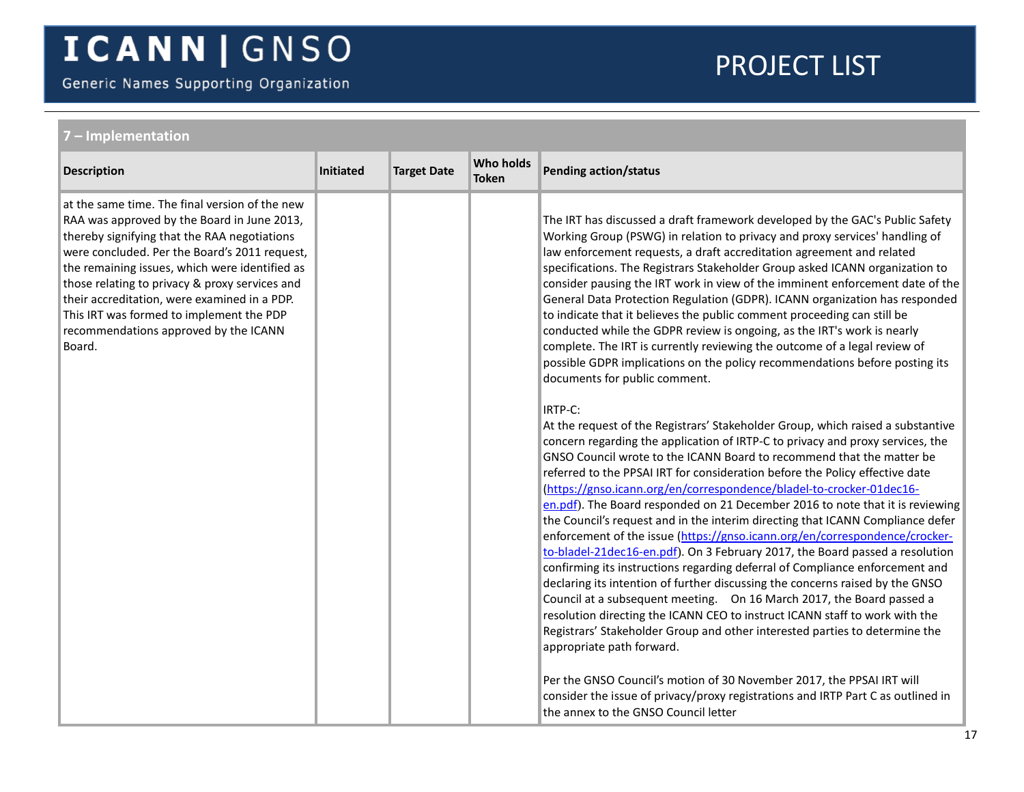Generic Names Supporting Organization

| ' – Implementation                                                                                                                                                                                                                                                                                                                                                                                                                                |           |                    |                                  |                                                                                                                                                                                                                                                                                                                                                                                                                                                                                                                                                                                                                                                                                                                                                                                                                                                                                                                                                                                                                                                                                                                                                                                                                                                                                                                                                                                                                                                                                                                                                                                                                                                                                                                                                                                                                                                                                                                                                                                                                                                                                                                                                                                               |  |  |
|---------------------------------------------------------------------------------------------------------------------------------------------------------------------------------------------------------------------------------------------------------------------------------------------------------------------------------------------------------------------------------------------------------------------------------------------------|-----------|--------------------|----------------------------------|-----------------------------------------------------------------------------------------------------------------------------------------------------------------------------------------------------------------------------------------------------------------------------------------------------------------------------------------------------------------------------------------------------------------------------------------------------------------------------------------------------------------------------------------------------------------------------------------------------------------------------------------------------------------------------------------------------------------------------------------------------------------------------------------------------------------------------------------------------------------------------------------------------------------------------------------------------------------------------------------------------------------------------------------------------------------------------------------------------------------------------------------------------------------------------------------------------------------------------------------------------------------------------------------------------------------------------------------------------------------------------------------------------------------------------------------------------------------------------------------------------------------------------------------------------------------------------------------------------------------------------------------------------------------------------------------------------------------------------------------------------------------------------------------------------------------------------------------------------------------------------------------------------------------------------------------------------------------------------------------------------------------------------------------------------------------------------------------------------------------------------------------------------------------------------------------------|--|--|
| <b>Description</b>                                                                                                                                                                                                                                                                                                                                                                                                                                | Initiated | <b>Target Date</b> | <b>Who holds</b><br><b>Token</b> | <b>Pending action/status</b>                                                                                                                                                                                                                                                                                                                                                                                                                                                                                                                                                                                                                                                                                                                                                                                                                                                                                                                                                                                                                                                                                                                                                                                                                                                                                                                                                                                                                                                                                                                                                                                                                                                                                                                                                                                                                                                                                                                                                                                                                                                                                                                                                                  |  |  |
| at the same time. The final version of the new<br>RAA was approved by the Board in June 2013,<br>thereby signifying that the RAA negotiations<br>were concluded. Per the Board's 2011 request,<br>the remaining issues, which were identified as<br>those relating to privacy & proxy services and<br>their accreditation, were examined in a PDP.<br>This IRT was formed to implement the PDP<br>recommendations approved by the ICANN<br>Board. |           |                    |                                  | The IRT has discussed a draft framework developed by the GAC's Public Safety<br>Working Group (PSWG) in relation to privacy and proxy services' handling of<br>law enforcement requests, a draft accreditation agreement and related<br>specifications. The Registrars Stakeholder Group asked ICANN organization to<br>consider pausing the IRT work in view of the imminent enforcement date of the<br>General Data Protection Regulation (GDPR). ICANN organization has responded<br>to indicate that it believes the public comment proceeding can still be<br>conducted while the GDPR review is ongoing, as the IRT's work is nearly<br>complete. The IRT is currently reviewing the outcome of a legal review of<br>possible GDPR implications on the policy recommendations before posting its<br>documents for public comment.<br>IRTP-C:<br>At the request of the Registrars' Stakeholder Group, which raised a substantive<br>concern regarding the application of IRTP-C to privacy and proxy services, the<br>GNSO Council wrote to the ICANN Board to recommend that the matter be<br>referred to the PPSAI IRT for consideration before the Policy effective date<br>(https://gnso.icann.org/en/correspondence/bladel-to-crocker-01dec16-<br>en.pdf). The Board responded on 21 December 2016 to note that it is reviewing<br>the Council's request and in the interim directing that ICANN Compliance defer<br>enforcement of the issue (https://gnso.icann.org/en/correspondence/crocker-<br>to-bladel-21dec16-en.pdf). On 3 February 2017, the Board passed a resolution<br>confirming its instructions regarding deferral of Compliance enforcement and<br>declaring its intention of further discussing the concerns raised by the GNSO<br>Council at a subsequent meeting.  On 16 March 2017, the Board passed a<br>resolution directing the ICANN CEO to instruct ICANN staff to work with the<br>Registrars' Stakeholder Group and other interested parties to determine the<br>appropriate path forward.<br>Per the GNSO Council's motion of 30 November 2017, the PPSAI IRT will<br>consider the issue of privacy/proxy registrations and IRTP Part C as outlined in |  |  |
|                                                                                                                                                                                                                                                                                                                                                                                                                                                   |           |                    |                                  | the annex to the GNSO Council letter                                                                                                                                                                                                                                                                                                                                                                                                                                                                                                                                                                                                                                                                                                                                                                                                                                                                                                                                                                                                                                                                                                                                                                                                                                                                                                                                                                                                                                                                                                                                                                                                                                                                                                                                                                                                                                                                                                                                                                                                                                                                                                                                                          |  |  |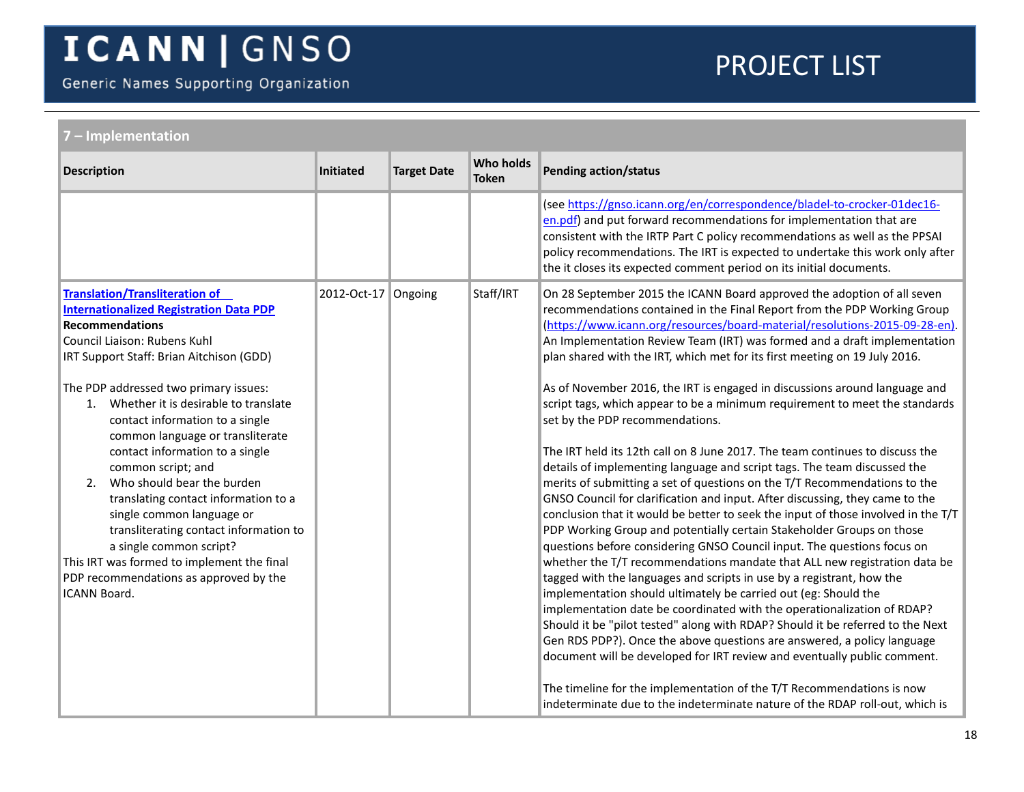Generic Names Supporting Organization

<span id="page-17-0"></span>

| 7 - Implementation                                                                                                                                                                                                                                                                                                                                                                                |                          |                    |                                  |                                                                                                                                                                                                                                                                                                                                                                                                                                                                                                                                                                                                                                                                                                                                                                |  |  |
|---------------------------------------------------------------------------------------------------------------------------------------------------------------------------------------------------------------------------------------------------------------------------------------------------------------------------------------------------------------------------------------------------|--------------------------|--------------------|----------------------------------|----------------------------------------------------------------------------------------------------------------------------------------------------------------------------------------------------------------------------------------------------------------------------------------------------------------------------------------------------------------------------------------------------------------------------------------------------------------------------------------------------------------------------------------------------------------------------------------------------------------------------------------------------------------------------------------------------------------------------------------------------------------|--|--|
| <b>Description</b>                                                                                                                                                                                                                                                                                                                                                                                | Initiated                | <b>Target Date</b> | <b>Who holds</b><br><b>Token</b> | <b>Pending action/status</b>                                                                                                                                                                                                                                                                                                                                                                                                                                                                                                                                                                                                                                                                                                                                   |  |  |
|                                                                                                                                                                                                                                                                                                                                                                                                   |                          |                    |                                  | (see https://gnso.icann.org/en/correspondence/bladel-to-crocker-01dec16-<br>en.pdf) and put forward recommendations for implementation that are<br>consistent with the IRTP Part C policy recommendations as well as the PPSAI<br>policy recommendations. The IRT is expected to undertake this work only after<br>the it closes its expected comment period on its initial documents.                                                                                                                                                                                                                                                                                                                                                                         |  |  |
| <b>Translation/Transliteration of</b><br><b>Internationalized Registration Data PDP</b><br><b>Recommendations</b><br>Council Liaison: Rubens Kuhl<br>IRT Support Staff: Brian Aitchison (GDD)                                                                                                                                                                                                     | $2012$ -Oct-17   Ongoing |                    | Staff/IRT                        | On 28 September 2015 the ICANN Board approved the adoption of all seven<br>recommendations contained in the Final Report from the PDP Working Group<br>(https://www.icann.org/resources/board-material/resolutions-2015-09-28-en).<br>An Implementation Review Team (IRT) was formed and a draft implementation<br>plan shared with the IRT, which met for its first meeting on 19 July 2016.                                                                                                                                                                                                                                                                                                                                                                  |  |  |
| The PDP addressed two primary issues:<br>Whether it is desirable to translate<br>1.<br>contact information to a single<br>common language or transliterate<br>contact information to a single<br>common script; and<br>Who should bear the burden<br>2.<br>translating contact information to a<br>single common language or<br>transliterating contact information to<br>a single common script? |                          |                    |                                  | As of November 2016, the IRT is engaged in discussions around language and<br>script tags, which appear to be a minimum requirement to meet the standards<br>set by the PDP recommendations.<br>The IRT held its 12th call on 8 June 2017. The team continues to discuss the<br>details of implementing language and script tags. The team discussed the<br>merits of submitting a set of questions on the T/T Recommendations to the<br>GNSO Council for clarification and input. After discussing, they came to the<br>conclusion that it would be better to seek the input of those involved in the T/T<br>PDP Working Group and potentially certain Stakeholder Groups on those<br>questions before considering GNSO Council input. The questions focus on |  |  |
| This IRT was formed to implement the final<br>PDP recommendations as approved by the<br>ICANN Board.                                                                                                                                                                                                                                                                                              |                          |                    |                                  | whether the T/T recommendations mandate that ALL new registration data be<br>tagged with the languages and scripts in use by a registrant, how the<br>implementation should ultimately be carried out (eg: Should the<br>implementation date be coordinated with the operationalization of RDAP?<br>Should it be "pilot tested" along with RDAP? Should it be referred to the Next<br>Gen RDS PDP?). Once the above questions are answered, a policy language<br>document will be developed for IRT review and eventually public comment.<br>The timeline for the implementation of the T/T Recommendations is now<br>indeterminate due to the indeterminate nature of the RDAP roll-out, which is                                                             |  |  |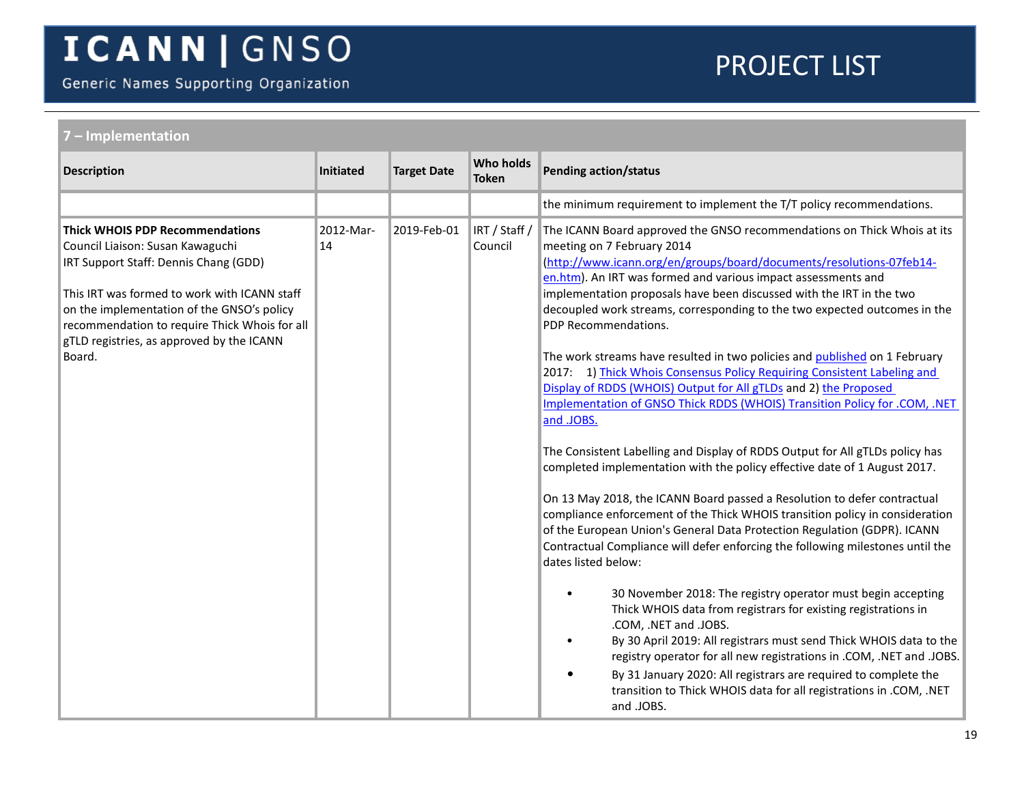Generic Names Supporting Organization

<span id="page-18-0"></span>

| 7 - Implementation                                                                                                                                                                                                                                                                                                        |                 |                    |                                  |                                                                                                                                                                                                                                                                                                                                                                                                                                                                                                                                                                                                                                                                                                                                                                                                                                                                                                                                                                                                                                                                                                                                                                                                                                                                                                                                                                                                                                                                                                                                                                                                                                                                                                                                    |  |  |  |
|---------------------------------------------------------------------------------------------------------------------------------------------------------------------------------------------------------------------------------------------------------------------------------------------------------------------------|-----------------|--------------------|----------------------------------|------------------------------------------------------------------------------------------------------------------------------------------------------------------------------------------------------------------------------------------------------------------------------------------------------------------------------------------------------------------------------------------------------------------------------------------------------------------------------------------------------------------------------------------------------------------------------------------------------------------------------------------------------------------------------------------------------------------------------------------------------------------------------------------------------------------------------------------------------------------------------------------------------------------------------------------------------------------------------------------------------------------------------------------------------------------------------------------------------------------------------------------------------------------------------------------------------------------------------------------------------------------------------------------------------------------------------------------------------------------------------------------------------------------------------------------------------------------------------------------------------------------------------------------------------------------------------------------------------------------------------------------------------------------------------------------------------------------------------------|--|--|--|
| <b>Description</b>                                                                                                                                                                                                                                                                                                        | Initiated       | <b>Target Date</b> | <b>Who holds</b><br><b>Token</b> | <b>Pending action/status</b>                                                                                                                                                                                                                                                                                                                                                                                                                                                                                                                                                                                                                                                                                                                                                                                                                                                                                                                                                                                                                                                                                                                                                                                                                                                                                                                                                                                                                                                                                                                                                                                                                                                                                                       |  |  |  |
|                                                                                                                                                                                                                                                                                                                           |                 |                    |                                  | the minimum requirement to implement the T/T policy recommendations.                                                                                                                                                                                                                                                                                                                                                                                                                                                                                                                                                                                                                                                                                                                                                                                                                                                                                                                                                                                                                                                                                                                                                                                                                                                                                                                                                                                                                                                                                                                                                                                                                                                               |  |  |  |
| <b>Thick WHOIS PDP Recommendations</b><br>Council Liaison: Susan Kawaguchi<br>IRT Support Staff: Dennis Chang (GDD)<br>This IRT was formed to work with ICANN staff<br>on the implementation of the GNSO's policy<br>recommendation to require Thick Whois for all<br>gTLD registries, as approved by the ICANN<br>Board. | 2012-Mar-<br>14 | 2019-Feb-01        | IRT / Staff /<br>Council         | The ICANN Board approved the GNSO recommendations on Thick Whois at its<br>meeting on 7 February 2014<br>(http://www.icann.org/en/groups/board/documents/resolutions-07feb14-<br>en.htm). An IRT was formed and various impact assessments and<br>implementation proposals have been discussed with the IRT in the two<br>decoupled work streams, corresponding to the two expected outcomes in the<br>PDP Recommendations.<br>The work streams have resulted in two policies and published on 1 February<br>2017: 1) Thick Whois Consensus Policy Requiring Consistent Labeling and<br>Display of RDDS (WHOIS) Output for All gTLDs and 2) the Proposed<br>Implementation of GNSO Thick RDDS (WHOIS) Transition Policy for .COM, .NET<br>and .JOBS.<br>The Consistent Labelling and Display of RDDS Output for All gTLDs policy has<br>completed implementation with the policy effective date of 1 August 2017.<br>On 13 May 2018, the ICANN Board passed a Resolution to defer contractual<br>compliance enforcement of the Thick WHOIS transition policy in consideration<br>of the European Union's General Data Protection Regulation (GDPR). ICANN<br>Contractual Compliance will defer enforcing the following milestones until the<br>dates listed below:<br>30 November 2018: The registry operator must begin accepting<br>Thick WHOIS data from registrars for existing registrations in<br>.COM, .NET and .JOBS.<br>By 30 April 2019: All registrars must send Thick WHOIS data to the<br>registry operator for all new registrations in .COM, .NET and .JOBS.<br>By 31 January 2020: All registrars are required to complete the<br>transition to Thick WHOIS data for all registrations in .COM, .NET<br>and .JOBS. |  |  |  |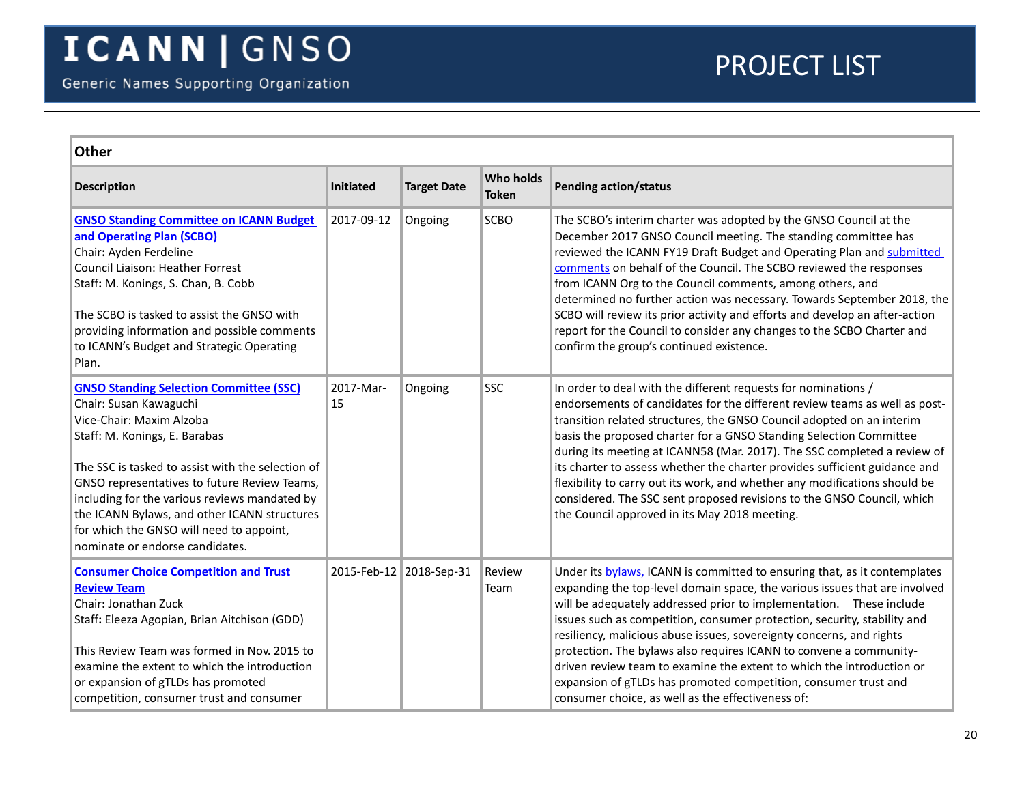<span id="page-19-2"></span><span id="page-19-1"></span><span id="page-19-0"></span>

| <b>Other</b>                                                                                                                                                                                                                                                                                                                                                                                                               |                 |                         |                                  |                                                                                                                                                                                                                                                                                                                                                                                                                                                                                                                                                                                                                                                                |  |  |
|----------------------------------------------------------------------------------------------------------------------------------------------------------------------------------------------------------------------------------------------------------------------------------------------------------------------------------------------------------------------------------------------------------------------------|-----------------|-------------------------|----------------------------------|----------------------------------------------------------------------------------------------------------------------------------------------------------------------------------------------------------------------------------------------------------------------------------------------------------------------------------------------------------------------------------------------------------------------------------------------------------------------------------------------------------------------------------------------------------------------------------------------------------------------------------------------------------------|--|--|
| <b>Description</b>                                                                                                                                                                                                                                                                                                                                                                                                         | Initiated       | <b>Target Date</b>      | <b>Who holds</b><br><b>Token</b> | <b>Pending action/status</b>                                                                                                                                                                                                                                                                                                                                                                                                                                                                                                                                                                                                                                   |  |  |
| <b>GNSO Standing Committee on ICANN Budget</b><br>and Operating Plan (SCBO)<br>Chair: Ayden Ferdeline<br>Council Liaison: Heather Forrest<br>Staff: M. Konings, S. Chan, B. Cobb<br>The SCBO is tasked to assist the GNSO with<br>providing information and possible comments<br>to ICANN's Budget and Strategic Operating<br>Plan.                                                                                        | 2017-09-12      | Ongoing                 | <b>SCBO</b>                      | The SCBO's interim charter was adopted by the GNSO Council at the<br>December 2017 GNSO Council meeting. The standing committee has<br>reviewed the ICANN FY19 Draft Budget and Operating Plan and submitted<br>comments on behalf of the Council. The SCBO reviewed the responses<br>from ICANN Org to the Council comments, among others, and<br>determined no further action was necessary. Towards September 2018, the<br>SCBO will review its prior activity and efforts and develop an after-action<br>report for the Council to consider any changes to the SCBO Charter and<br>confirm the group's continued existence.                                |  |  |
| <b>GNSO Standing Selection Committee (SSC)</b><br>Chair: Susan Kawaguchi<br>Vice-Chair: Maxim Alzoba<br>Staff: M. Konings, E. Barabas<br>The SSC is tasked to assist with the selection of<br>GNSO representatives to future Review Teams,<br>including for the various reviews mandated by<br>the ICANN Bylaws, and other ICANN structures<br>for which the GNSO will need to appoint,<br>nominate or endorse candidates. | 2017-Mar-<br>15 | Ongoing                 | <b>SSC</b>                       | In order to deal with the different requests for nominations /<br>endorsements of candidates for the different review teams as well as post-<br>transition related structures, the GNSO Council adopted on an interim<br>basis the proposed charter for a GNSO Standing Selection Committee<br>during its meeting at ICANN58 (Mar. 2017). The SSC completed a review of<br>its charter to assess whether the charter provides sufficient guidance and<br>flexibility to carry out its work, and whether any modifications should be<br>considered. The SSC sent proposed revisions to the GNSO Council, which<br>the Council approved in its May 2018 meeting. |  |  |
| <b>Consumer Choice Competition and Trust</b><br><b>Review Team</b><br>Chair: Jonathan Zuck<br>Staff: Eleeza Agopian, Brian Aitchison (GDD)<br>This Review Team was formed in Nov. 2015 to<br>examine the extent to which the introduction<br>or expansion of gTLDs has promoted<br>competition, consumer trust and consumer                                                                                                |                 | 2015-Feb-12 2018-Sep-31 | Review<br>Team                   | Under its bylaws, ICANN is committed to ensuring that, as it contemplates<br>expanding the top-level domain space, the various issues that are involved<br>will be adequately addressed prior to implementation.  These include<br>issues such as competition, consumer protection, security, stability and<br>resiliency, malicious abuse issues, sovereignty concerns, and rights<br>protection. The bylaws also requires ICANN to convene a community-<br>driven review team to examine the extent to which the introduction or<br>expansion of gTLDs has promoted competition, consumer trust and<br>consumer choice, as well as the effectiveness of:     |  |  |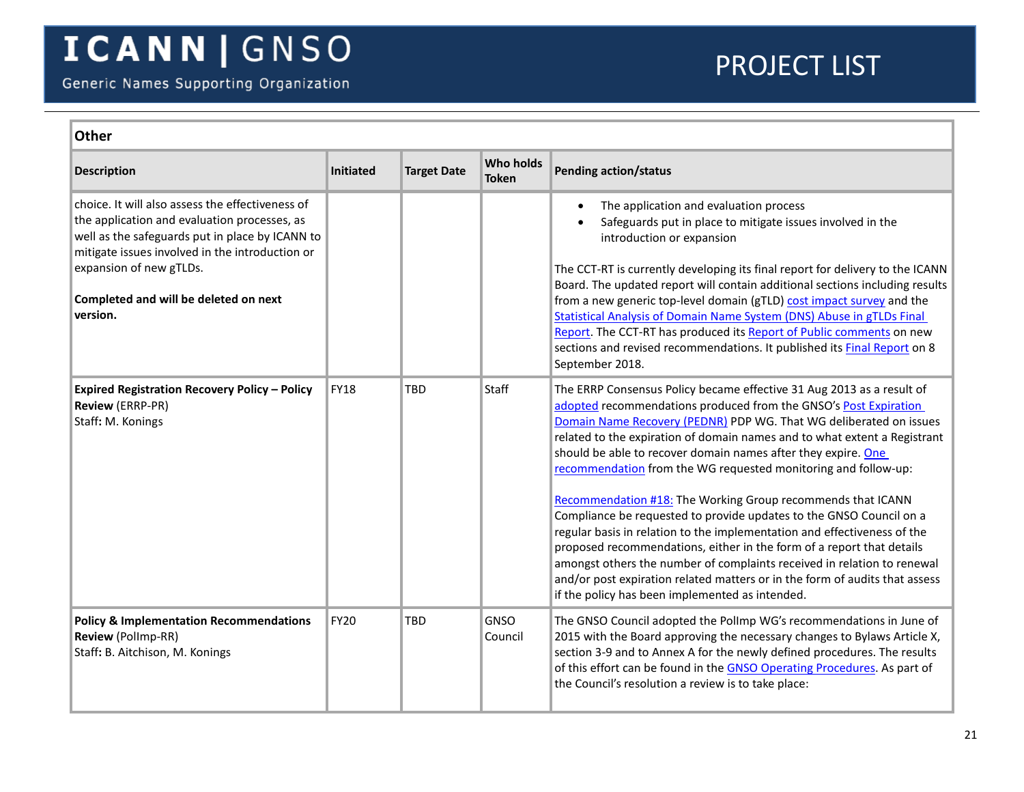<span id="page-20-1"></span><span id="page-20-0"></span>

| <b>Other</b>                                                                                                                                                                                                                                                                           |             |                    |                                  |                                                                                                                                                                                                                                                                                                                                                                                                                                                                                                                                                                                                                                                                                                                                                                                                                                                                                                                                         |  |
|----------------------------------------------------------------------------------------------------------------------------------------------------------------------------------------------------------------------------------------------------------------------------------------|-------------|--------------------|----------------------------------|-----------------------------------------------------------------------------------------------------------------------------------------------------------------------------------------------------------------------------------------------------------------------------------------------------------------------------------------------------------------------------------------------------------------------------------------------------------------------------------------------------------------------------------------------------------------------------------------------------------------------------------------------------------------------------------------------------------------------------------------------------------------------------------------------------------------------------------------------------------------------------------------------------------------------------------------|--|
| <b>Description</b>                                                                                                                                                                                                                                                                     | Initiated   | <b>Target Date</b> | <b>Who holds</b><br><b>Token</b> | <b>Pending action/status</b>                                                                                                                                                                                                                                                                                                                                                                                                                                                                                                                                                                                                                                                                                                                                                                                                                                                                                                            |  |
| choice. It will also assess the effectiveness of<br>the application and evaluation processes, as<br>well as the safeguards put in place by ICANN to<br>mitigate issues involved in the introduction or<br>expansion of new gTLDs.<br>Completed and will be deleted on next<br>version. |             |                    |                                  | The application and evaluation process<br>Safeguards put in place to mitigate issues involved in the<br>introduction or expansion<br>The CCT-RT is currently developing its final report for delivery to the ICANN<br>Board. The updated report will contain additional sections including results<br>from a new generic top-level domain (gTLD) cost impact survey and the<br><b>Statistical Analysis of Domain Name System (DNS) Abuse in gTLDs Final</b><br>Report. The CCT-RT has produced its Report of Public comments on new<br>sections and revised recommendations. It published its <b>Final Report</b> on 8<br>September 2018.                                                                                                                                                                                                                                                                                               |  |
| <b>Expired Registration Recovery Policy - Policy</b><br><b>Review (ERRP-PR)</b><br>Staff: M. Konings                                                                                                                                                                                   | <b>FY18</b> | TBD                | Staff                            | The ERRP Consensus Policy became effective 31 Aug 2013 as a result of<br>adopted recommendations produced from the GNSO's Post Expiration<br>Domain Name Recovery (PEDNR) PDP WG. That WG deliberated on issues<br>related to the expiration of domain names and to what extent a Registrant<br>should be able to recover domain names after they expire. One<br>recommendation from the WG requested monitoring and follow-up:<br>Recommendation #18: The Working Group recommends that ICANN<br>Compliance be requested to provide updates to the GNSO Council on a<br>regular basis in relation to the implementation and effectiveness of the<br>proposed recommendations, either in the form of a report that details<br>amongst others the number of complaints received in relation to renewal<br>and/or post expiration related matters or in the form of audits that assess<br>if the policy has been implemented as intended. |  |
| <b>Policy &amp; Implementation Recommendations</b><br>Review (Pollmp-RR)<br>Staff: B. Aitchison, M. Konings                                                                                                                                                                            | <b>FY20</b> | <b>TBD</b>         | <b>GNSO</b><br>Council           | The GNSO Council adopted the Pollmp WG's recommendations in June of<br>2015 with the Board approving the necessary changes to Bylaws Article X,<br>section 3-9 and to Annex A for the newly defined procedures. The results<br>of this effort can be found in the GNSO Operating Procedures. As part of<br>the Council's resolution a review is to take place:                                                                                                                                                                                                                                                                                                                                                                                                                                                                                                                                                                          |  |